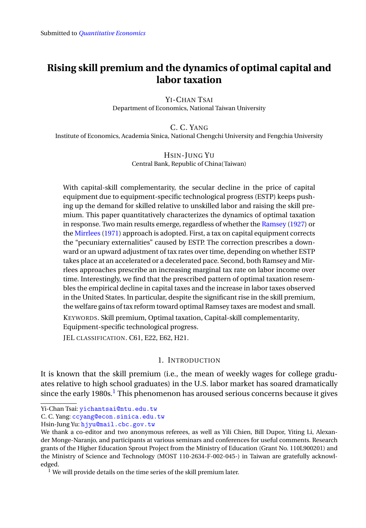# <span id="page-0-1"></span>**Rising skill premium and the dynamics of optimal capital and labor taxation**

YI-CHAN TSAI Department of Economics, National Taiwan University

C. C. YANG Institute of Economics, Academia Sinica, National Chengchi University and Fengchia University

> HSIN-JUNG YU Central Bank, Republic of China(Taiwan)

With capital-skill complementarity, the secular decline in the price of capital equipment due to equipment-specific technological progress (ESTP) keeps pushing up the demand for skilled relative to unskilled labor and raising the skill premium. This paper quantitatively characterizes the dynamics of optimal taxation in response. Two main results emerge, regardless of whether the [Ramsey](#page-38-0) [\(1927\)](#page-38-0) or the [Mirrlees](#page-37-0) [\(1971\)](#page-37-0) approach is adopted. First, a tax on capital equipment corrects the "pecuniary externalities" caused by ESTP. The correction prescribes a downward or an upward adjustment of tax rates over time, depending on whether ESTP takes place at an accelerated or a decelerated pace. Second, both Ramsey and Mirrlees approaches prescribe an increasing marginal tax rate on labor income over time. Interestingly, we find that the prescribed pattern of optimal taxation resembles the empirical decline in capital taxes and the increase in labor taxes observed in the United States. In particular, despite the significant rise in the skill premium, the welfare gains of tax reform toward optimal Ramsey taxes are modest and small.

KEYWORDS. Skill premium, Optimal taxation, Capital-skill complementarity,

Equipment-specific technological progress.

JEL CLASSIFICATION. C61, E22, E62, H21.

### 1. INTRODUCTION

It is known that the skill premium (i.e., the mean of weekly wages for college graduates relative to high school graduates) in the U.S. labor market has soared dramatically since the early [1](#page-0-0)980s.<sup>1</sup> This phenomenon has aroused serious concerns because it gives

Yi-Chan Tsai: [yichantsai@ntu.edu.tw](mailto:yichantsai@ntu.edu.tw)

C. C. Yang: [ccyang@econ.sinica.edu.tw](mailto:ccyang@econ.sinica.edu.tw)

Hsin-Jung Yu: [hjyu@mail.cbc.gov.tw](mailto:hjyu@mail.cbc.gov.tw)

We thank a co-editor and two anonymous referees, as well as Yili Chien, Bill Dupor, Yiting Li, Alexander Monge-Naranjo, and participants at various seminars and conferences for useful comments. Research grants of the Higher Education Sprout Project from the Ministry of Education (Grant No. 110L900201) and the Ministry of Science and Technology (MOST 110-2634-F-002-045-) in Taiwan are gratefully acknowledged.

<span id="page-0-0"></span><sup>&</sup>lt;sup>1</sup> We will provide details on the time series of the skill premium later.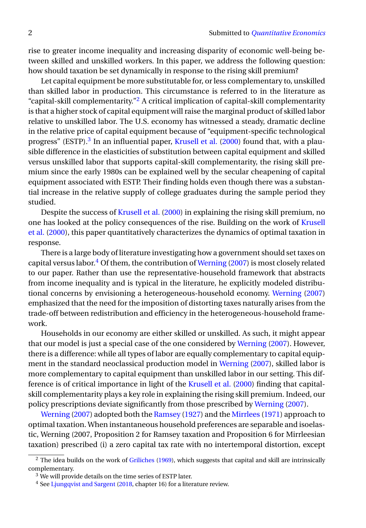rise to greater income inequality and increasing disparity of economic well-being between skilled and unskilled workers. In this paper, we address the following question: how should taxation be set dynamically in response to the rising skill premium?

Let capital equipment be more substitutable for, or less complementary to, unskilled than skilled labor in production. This circumstance is referred to in the literature as "capital-skill complementarity."<sup>[2](#page-1-0)</sup> A critical implication of capital-skill complementarity is that a higher stock of capital equipment will raise the marginal product of skilled labor relative to unskilled labor. The U.S. economy has witnessed a steady, dramatic decline in the relative price of capital equipment because of "equipment-specific technological progress" (ESTP).<sup>[3](#page-1-1)</sup> In an influential paper, [Krusell et al.](#page-37-1) [\(2000\)](#page-37-1) found that, with a plausible difference in the elasticities of substitution between capital equipment and skilled versus unskilled labor that supports capital-skill complementarity, the rising skill premium since the early 1980s can be explained well by the secular cheapening of capital equipment associated with ESTP. Their finding holds even though there was a substantial increase in the relative supply of college graduates during the sample period they studied.

Despite the success of [Krusell et al.](#page-37-1) [\(2000\)](#page-37-1) in explaining the rising skill premium, no one has looked at the policy consequences of the rise. Building on the work of [Krusell](#page-37-1) [et al.](#page-37-1) [\(2000\)](#page-37-1), this paper quantitatively characterizes the dynamics of optimal taxation in response.

There is a large body of literature investigating how a government should set taxes on capital versus labor.<sup>[4](#page-1-2)</sup> Of them, the contribution of [Werning](#page-38-1) [\(2007\)](#page-38-1) is most closely related to our paper. Rather than use the representative-household framework that abstracts from income inequality and is typical in the literature, he explicitly modeled distributional concerns by envisioning a heterogeneous-household economy. [Werning](#page-38-1) [\(2007\)](#page-38-1) emphasized that the need for the imposition of distorting taxes naturally arises from the trade-off between redistribution and efficiency in the heterogeneous-household framework.

Households in our economy are either skilled or unskilled. As such, it might appear that our model is just a special case of the one considered by [Werning](#page-38-1) [\(2007\)](#page-38-1). However, there is a difference: while all types of labor are equally complementary to capital equipment in the standard neoclassical production model in [Werning](#page-38-1) [\(2007\)](#page-38-1), skilled labor is more complementary to capital equipment than unskilled labor in our setting. This difference is of critical importance in light of the [Krusell et al.](#page-37-1) [\(2000\)](#page-37-1) finding that capitalskill complementarity plays a key role in explaining the rising skill premium. Indeed, our policy prescriptions deviate significantly from those prescribed by [Werning](#page-38-1) [\(2007\)](#page-38-1).

[Werning](#page-38-1) [\(2007\)](#page-38-1) adopted both the [Ramsey](#page-38-0) [\(1927\)](#page-38-0) and the [Mirrlees](#page-37-0) [\(1971\)](#page-37-0) approach to optimal taxation. When instantaneous household preferences are separable and isoelastic, Werning (2007, Proposition 2 for Ramsey taxation and Proposition 6 for Mirrleesian taxation) prescribed (i) a zero capital tax rate with no intertemporal distortion, except

<span id="page-1-0"></span> $<sup>2</sup>$  The idea builds on the work of [Griliches](#page-37-2) [\(1969\)](#page-37-2), which suggests that capital and skill are intrinsically</sup> complementary.

<span id="page-1-1"></span><sup>3</sup> We will provide details on the time series of ESTP later.

<span id="page-1-2"></span><sup>&</sup>lt;sup>4</sup> See [Ljungqvist and Sargent](#page-37-3) [\(2018,](#page-37-3) chapter 16) for a literature review.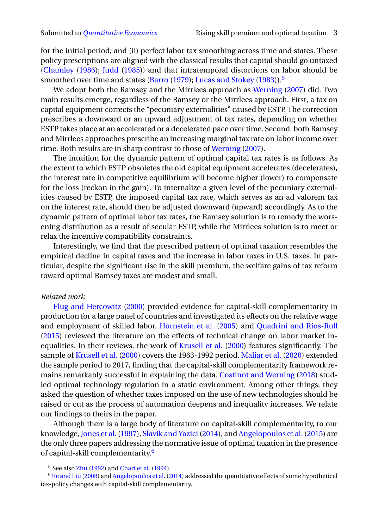for the initial period; and (ii) perfect labor tax smoothing across time and states. These policy prescriptions are aligned with the classical results that capital should go untaxed [\(Chamley](#page-36-0) [\(1986\)](#page-36-0); [Judd](#page-37-4) [\(1985\)](#page-37-4)) and that intratemporal distortions on labor should be smoothed over time and states [\(Barro](#page-36-1) [\(1979\)](#page-36-1); [Lucas and Stokey](#page-37-5) [\(1983\)](#page-37-5)).<sup>[5](#page-2-0)</sup>

We adopt both the Ramsey and the Mirrlees approach as [Werning](#page-38-1) [\(2007\)](#page-38-1) did. Two main results emerge, regardless of the Ramsey or the Mirrlees approach. First, a tax on capital equipment corrects the "pecuniary externalities" caused by ESTP. The correction prescribes a downward or an upward adjustment of tax rates, depending on whether ESTP takes place at an accelerated or a decelerated pace over time. Second, both Ramsey and Mirrlees approaches prescribe an increasing marginal tax rate on labor income over time. Both results are in sharp contrast to those of [Werning](#page-38-1) [\(2007\)](#page-38-1).

The intuition for the dynamic pattern of optimal capital tax rates is as follows. As the extent to which ESTP obsoletes the old capital equipment accelerates (decelerates), the interest rate in competitive equilibrium will become higher (lower) to compensate for the loss (reckon in the gain). To internalize a given level of the pecuniary externalities caused by ESTP, the imposed capital tax rate, which serves as an ad valorem tax on the interest rate, should then be adjusted downward (upward) accordingly. As to the dynamic pattern of optimal labor tax rates, the Ramsey solution is to remedy the worsening distribution as a result of secular ESTP, while the Mirrlees solution is to meet or relax the incentive compatibility constraints.

Interestingly, we find that the prescribed pattern of optimal taxation resembles the empirical decline in capital taxes and the increase in labor taxes in U.S. taxes. In particular, despite the significant rise in the skill premium, the welfare gains of tax reform toward optimal Ramsey taxes are modest and small.

### *Related work*

[Flug and Hercowitz](#page-36-2) [\(2000\)](#page-36-2) provided evidence for capital-skill complementarity in production for a large panel of countries and investigated its effects on the relative wage and employment of skilled labor. [Hornstein et al.](#page-37-6) [\(2005\)](#page-37-6) and [Quadrini and Ríos-Rull](#page-37-7) [\(2015\)](#page-37-7) reviewed the literature on the effects of technical change on labor market inequalities. In their reviews, the work of [Krusell et al.](#page-37-1) [\(2000\)](#page-37-1) features significantly. The sample of [Krusell et al.](#page-37-1) [\(2000\)](#page-37-1) covers the 1963-1992 period. [Maliar et al.](#page-37-8) [\(2020\)](#page-37-8) extended the sample period to 2017, finding that the capital-skill complementarity framework remains remarkably successful in explaining the data. [Costinot and Werning](#page-36-3) [\(2018\)](#page-36-3) studied optimal technology regulation in a static environment. Among other things, they asked the question of whether taxes imposed on the use of new technologies should be raised or cut as the process of automation deepens and inequality increases. We relate our findings to theirs in the paper.

Although there is a large body of literature on capital-skill complementarity, to our knowledge, [Jones et al.](#page-37-9) [\(1997\)](#page-37-9), [Slavík and Yazici](#page-38-2) [\(2014\)](#page-38-2), and [Angelopoulos et al.](#page-35-0) [\(2015\)](#page-35-0) are the only three papers addressing the normative issue of optimal taxation in the presence of capital-skill complementarity.<sup>[6](#page-2-1)</sup>

<span id="page-2-1"></span><span id="page-2-0"></span><sup>5</sup> See also [Zhu](#page-38-3) [\(1992\)](#page-38-3) and [Chari et al.](#page-36-4) [\(1994\)](#page-36-4).

<sup>6</sup>[He and Liu](#page-37-10) [\(2008\)](#page-37-10) and [Angelopoulos et al.\(2014\)](#page-35-1) addressed the quantitative effects of some hypothetical tax-policy changes with capital-skill complementarity.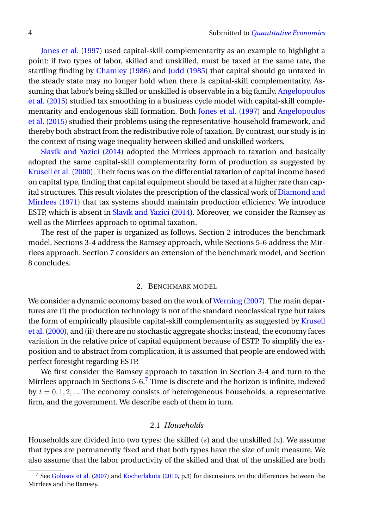[Jones et al.](#page-37-9) [\(1997\)](#page-37-9) used capital-skill complementarity as an example to highlight a point: if two types of labor, skilled and unskilled, must be taxed at the same rate, the startling finding by [Chamley](#page-36-0) [\(1986\)](#page-36-0) and [Judd](#page-37-4) [\(1985\)](#page-37-4) that capital should go untaxed in the steady state may no longer hold when there is capital-skill complementarity. Assuming that labor's being skilled or unskilled is observable in a big family, [Angelopoulos](#page-35-0) [et al.](#page-35-0) [\(2015\)](#page-35-0) studied tax smoothing in a business cycle model with capital-skill complementarity and endogenous skill formation. Both [Jones et al.](#page-37-9) [\(1997\)](#page-37-9) and [Angelopoulos](#page-35-0) [et al.](#page-35-0) [\(2015\)](#page-35-0) studied their problems using the representative-household framework, and thereby both abstract from the redistributive role of taxation. By contrast, our study is in the context of rising wage inequality between skilled and unskilled workers.

[Slavík and Yazici](#page-38-2) [\(2014\)](#page-38-2) adopted the Mirrlees approach to taxation and basically adopted the same capital-skill complementarity form of production as suggested by [Krusell et al.](#page-37-1) [\(2000\)](#page-37-1). Their focus was on the differential taxation of capital income based on capital type, finding that capital equipment should be taxed at a higher rate than capital structures. This result violates the prescription of the classical work of [Diamond and](#page-36-5) [Mirrlees](#page-36-5) [\(1971\)](#page-36-5) that tax systems should maintain production efficiency. We introduce ESTP, which is absent in [Slavík and Yazici](#page-38-2) [\(2014\)](#page-38-2). Moreover, we consider the Ramsey as well as the Mirrlees approach to optimal taxation.

The rest of the paper is organized as follows. Section 2 introduces the benchmark model. Sections 3-4 address the Ramsey approach, while Sections 5-6 address the Mirrlees approach. Section 7 considers an extension of the benchmark model, and Section 8 concludes.

### 2. BENCHMARK MODEL

We consider a dynamic economy based on the work of [Werning](#page-38-1) [\(2007\)](#page-38-1). The main departures are (i) the production technology is not of the standard neoclassical type but takes the form of empirically plausible capital-skill complementarity as suggested by [Krusell](#page-37-1) [et al.](#page-37-1) [\(2000\)](#page-37-1), and (ii) there are no stochastic aggregate shocks; instead, the economy faces variation in the relative price of capital equipment because of ESTP. To simplify the exposition and to abstract from complication, it is assumed that people are endowed with perfect foresight regarding ESTP.

We first consider the Ramsey approach to taxation in Section 3-4 and turn to the Mirrlees approach in Sections  $5-6.7$  $5-6.7$  Time is discrete and the horizon is infinite, indexed by  $t = 0, 1, 2, \dots$  The economy consists of heterogeneous households, a representative firm, and the government. We describe each of them in turn.

### 2.1 *Households*

Households are divided into two types: the skilled  $(s)$  and the unskilled  $(u)$ . We assume that types are permanently fixed and that both types have the size of unit measure. We also assume that the labor productivity of the skilled and that of the unskilled are both

<span id="page-3-0"></span><sup>7</sup> See [Golosov et al.](#page-36-6) [\(2007\)](#page-36-6) and [Kocherlakota](#page-37-11) [\(2010,](#page-37-11) p.3) for discussions on the differences between the Mirrlees and the Ramsey.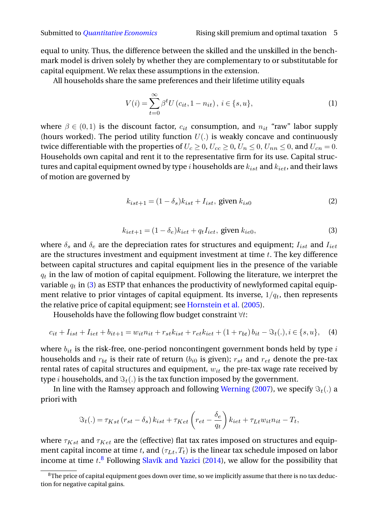equal to unity. Thus, the difference between the skilled and the unskilled in the benchmark model is driven solely by whether they are complementary to or substitutable for capital equipment. We relax these assumptions in the extension.

All households share the same preferences and their lifetime utility equals

<span id="page-4-4"></span>
$$
V(i) = \sum_{t=0}^{\infty} \beta^t U(c_{it}, 1 - n_{it}), \ i \in \{s, u\},
$$
 (1)

where  $\beta \in (0,1)$  is the discount factor,  $c_{it}$  consumption, and  $n_{it}$  "raw" labor supply (hours worked). The period utility function  $U(.)$  is weakly concave and continuously twice differentiable with the properties of  $U_c \ge 0$ ,  $U_{cc} \ge 0$ ,  $U_n \le 0$ ,  $U_{nn} \le 0$ , and  $U_{cn} = 0$ . Households own capital and rent it to the representative firm for its use. Capital structures and capital equipment owned by type i households are  $k_{ist}$  and  $k_{iet}$ , and their laws of motion are governed by

<span id="page-4-2"></span>
$$
k_{ist+1} = (1 - \delta_s)k_{ist} + I_{ist}, \text{ given } k_{is0}
$$
 (2)

<span id="page-4-0"></span>
$$
k_{iet+1} = (1 - \delta_e)k_{iet} + q_t I_{iet}, \text{ given } k_{ie0}, \tag{3}
$$

where  $\delta_s$  and  $\delta_e$  are the depreciation rates for structures and equipment;  $I_{ist}$  and  $I_{iet}$ are the structures investment and equipment investment at time  $t$ . The key difference between capital structures and capital equipment lies in the presence of the variable  $q_t$  in the law of motion of capital equipment. Following the literature, we interpret the variable  $q_t$  in [\(3\)](#page-4-0) as ESTP that enhances the productivity of newlyformed capital equipment relative to prior vintages of capital equipment. Its inverse,  $1/q_t$ , then represents the relative price of capital equipment; see [Hornstein et al.](#page-37-6) [\(2005\)](#page-37-6).

Households have the following flow budget constraint  $\forall t$ :

<span id="page-4-3"></span>
$$
c_{it} + I_{ist} + I_{iet} + b_{it+1} = w_{it}n_{it} + r_{st}k_{ist} + r_{et}k_{iet} + (1 + r_{bt})b_{it} - \mathfrak{F}_t(.) , i \in \{s, u\}, \quad (4)
$$

where  $b_{it}$  is the risk-free, one-period noncontingent government bonds held by type  $i$ households and  $r_{bt}$  is their rate of return ( $b_{i0}$  is given);  $r_{st}$  and  $r_{et}$  denote the pre-tax rental rates of capital structures and equipment,  $w_{it}$  the pre-tax wage rate received by type *i* households, and  $\Im_t(.)$  is the tax function imposed by the government.

In line with the Ramsey approach and following [Werning](#page-38-1) [\(2007\)](#page-38-1), we specify  $\Im_t(.)$  a priori with

$$
\Im t(.) = \tau_{Kst} (r_{st} - \delta_s) k_{ist} + \tau_{Ket} \left( r_{et} - \frac{\delta_e}{q_t} \right) k_{iet} + \tau_{Lt} w_{it} n_{it} - T_t,
$$

where  $\tau_{Kst}$  and  $\tau_{Ket}$  are the (effective) flat tax rates imposed on structures and equipment capital income at time t, and  $(\tau_{Lt}, T_t)$  is the linear tax schedule imposed on labor income at time  $t.^8$  $t.^8$  Following [Slavík and Yazici](#page-38-2) [\(2014\)](#page-38-2), we allow for the possibility that

<span id="page-4-1"></span> $8$ The price of capital equipment goes down over time, so we implicitly assume that there is no tax deduction for negative capital gains.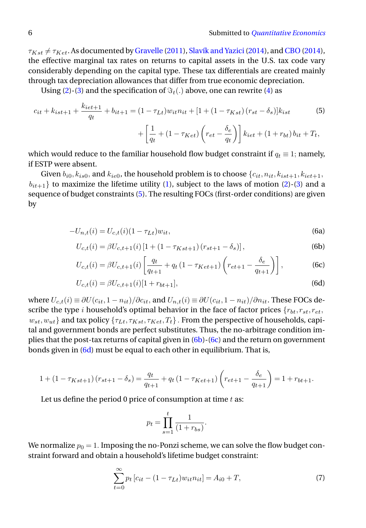$\tau_{Kst} \neq \tau_{Ket}$ . As documented by [Gravelle](#page-37-12) [\(2011\)](#page-37-12), Slavík and Yazici (2014), and [CBO](#page-36-7) [\(2014\)](#page-36-7), the effective marginal tax rates on returns to capital assets in the U.S. tax code vary considerably depending on the capital type. These tax differentials are created mainly through tax depreciation allowances that differ from true economic depreciation.

Using [\(2\)](#page-4-2)-[\(3\)](#page-4-0) and the specification of  $\Im_t(.)$  above, one can rewrite [\(4\)](#page-4-3) as

<span id="page-5-0"></span>
$$
c_{it} + k_{ist+1} + \frac{k_{iet+1}}{q_t} + b_{it+1} = (1 - \tau_{Lt})w_{it}n_{it} + [1 + (1 - \tau_{Kst}) (r_{st} - \delta_s)]k_{ist}
$$
(5)  
+ 
$$
\left[\frac{1}{q_t} + (1 - \tau_{Ket}) \left(r_{et} - \frac{\delta_e}{q_t}\right)\right]k_{iet} + (1 + r_{bt})b_{it} + T_t,
$$

which would reduce to the familiar household flow budget constraint if  $q_t \equiv 1$ ; namely, if ESTP were absent.

Given  $b_{i0}$ ,  $k_{is0}$ , and  $k_{ie0}$ , the household problem is to choose  $\{c_{it}, n_{it}, k_{ist+1}, k_{iet+1},$  $b_{it+1}$ } to maximize the lifetime utility [\(1\)](#page-4-4), subject to the laws of motion [\(2\)](#page-4-2)-[\(3\)](#page-4-0) and a sequence of budget constraints [\(5\)](#page-5-0). The resulting FOCs (first-order conditions) are given by

<span id="page-5-1"></span>
$$
-U_{n,t}(i) = U_{c,t}(i)(1 - \tau_{Lt})w_{it},
$$
\n(6a)

$$
U_{c,t}(i) = \beta U_{c,t+1}(i) \left[ 1 + (1 - \tau_{Kst+1}) \left( r_{st+1} - \delta_s \right) \right],\tag{6b}
$$

$$
U_{c,t}(i) = \beta U_{c,t+1}(i) \left[ \frac{q_t}{q_{t+1}} + q_t (1 - \tau_{Ket+1}) \left( r_{et+1} - \frac{\delta_e}{q_{t+1}} \right) \right],
$$
 (6c)

$$
U_{c,t}(i) = \beta U_{c,t+1}(i)[1 + r_{bt+1}],
$$
\n(6d)

where  $U_{c,t}(i) \equiv \partial U(c_{it}, 1 - n_{it})/\partial c_{it}$ , and  $U_{n,t}(i) \equiv \partial U(c_{it}, 1 - n_{it})/\partial n_{it}$ . These FOCs describe the type i household's optimal behavior in the face of factor prices  ${r_{bt}, r_{st}, r_{et}}$ ,  $w_{st}, w_{ut}$ } and tax policy  $\{\tau_{Lt}, \tau_{Kst}, \tau_{Ket}, T_t\}$ . From the perspective of households, capital and government bonds are perfect substitutes. Thus, the no-arbitrage condition implies that the post-tax returns of capital given in [\(6b\)](#page-5-1)-[\(6c\)](#page-5-1) and the return on government bonds given in [\(6d\)](#page-5-1) must be equal to each other in equilibrium. That is,

$$
1 + (1 - \tau_{Kst+1})(r_{st+1} - \delta_s) = \frac{q_t}{q_{t+1}} + q_t (1 - \tau_{Ket+1}) \left(r_{et+1} - \frac{\delta_e}{q_{t+1}}\right) = 1 + r_{bt+1}.
$$

Let us define the period 0 price of consumption at time  $t$  as:

$$
p_t = \prod_{s=1}^t \frac{1}{(1+r_{bs})}.
$$

We normalize  $p_0 = 1$ . Imposing the no-Ponzi scheme, we can solve the flow budget constraint forward and obtain a household's lifetime budget constraint:

<span id="page-5-2"></span>
$$
\sum_{t=0}^{\infty} p_t [c_{it} - (1 - \tau_{Lt}) w_{it} n_{it}] = A_{i0} + T,
$$
\n(7)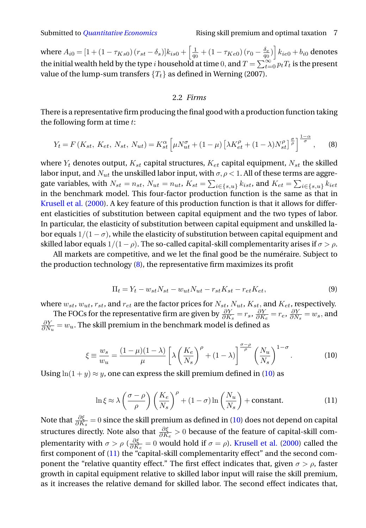where  $A_{i0}=[1+(1-\tau_{Ks0})\,(r_{st}-\delta_s)]k_{is0}+\left[\frac{1}{q_0}+(1-\tau_{Ke0})\,(r_0-\frac{\delta_e}{q_0})\right]k_{ie0}+b_{i0}$  denotes the initial wealth held by the type i household at time 0, and  $T = \sum_{t=0}^{\infty} p_t T_t$  is the present value of the lump-sum transfers  ${T_t}$  as defined in Werning (2007).

# 2.2 *Firms*

There is a representative firm producing the final good with a production function taking the following form at time  $t$ :

<span id="page-6-0"></span>
$$
Y_t = F(K_{st}, K_{et}, N_{st}, N_{ut}) = K_{st}^{\alpha} \left[ \mu N_{ut}^{\sigma} + (1 - \mu) \left[ \lambda K_{et}^{\rho} + (1 - \lambda) N_{st}^{\rho} \right]^{\frac{\sigma}{\rho}} \right]^{\frac{1 - \alpha}{\sigma}}, \quad (8)
$$

where  $Y_t$  denotes output,  $K_{st}$  capital structures,  $K_{et}$  capital equipment,  $N_{st}$  the skilled labor input, and  $N_{ut}$  the unskilled labor input, with  $\sigma$ ,  $\rho$  < 1. All of these terms are aggregate variables, with  $N_{st} = n_{st}$ ,  $N_{ut} = n_{ut}$ ,  $K_{st} = \sum_{i \in \{s, u\}} k_{ist}$ , and  $K_{et} = \sum_{i \in \{s, u\}} k_{iet}$ in the benchmark model. This four-factor production function is the same as that in [Krusell et al.](#page-37-1) [\(2000\)](#page-37-1). A key feature of this production function is that it allows for different elasticities of substitution between capital equipment and the two types of labor. In particular, the elasticity of substitution between capital equipment and unskilled labor equals  $1/(1 - \sigma)$ , while the elasticity of substitution between capital equipment and skilled labor equals  $1/(1 - \rho)$ . The so-called capital-skill complementarity arises if  $\sigma > \rho$ .

All markets are competitive, and we let the final good be the numéraire. Subject to the production technology [\(8\)](#page-6-0), the representative firm maximizes its profit

$$
\Pi_t = Y_t - w_{st} N_{st} - w_{ut} N_{ut} - r_{st} K_{st} - r_{et} K_{et},\tag{9}
$$

where  $w_{st}$ ,  $w_{ut}$ ,  $r_{st}$ , and  $r_{et}$  are the factor prices for  $N_{st}$ ,  $N_{ut}$ ,  $K_{st}$ , and  $K_{et}$ , respectively.

The FOCs for the representative firm are given by  $\frac{\partial Y}{\partial K_s} = r_s$ ,  $\frac{\partial Y}{\partial K_e} = r_e$ ,  $\frac{\partial Y}{\partial N_s} = w_s$ , and  $\frac{\partial Y}{\partial N_u} = w_u$ . The skill premium in the benchmark model is defined as

<span id="page-6-1"></span>
$$
\xi \equiv \frac{w_s}{w_u} = \frac{(1-\mu)(1-\lambda)}{\mu} \left[ \lambda \left( \frac{K_e}{N_s} \right)^{\rho} + (1-\lambda) \right]^{\frac{\sigma-\rho}{\rho}} \left( \frac{N_u}{N_s} \right)^{1-\sigma} . \tag{10}
$$

Using  $ln(1 + y) \approx y$ , one can express the skill premium defined in [\(10\)](#page-6-1) as

<span id="page-6-2"></span>
$$
\ln \xi \approx \lambda \left(\frac{\sigma - \rho}{\rho}\right) \left(\frac{K_e}{N_s}\right)^{\rho} + (1 - \sigma) \ln \left(\frac{N_u}{N_s}\right) + \text{constant.}
$$
 (11)

Note that  $\frac{\partial \xi}{\partial K_s}=0$  since the skill premium as defined in [\(10\)](#page-6-1) does not depend on capital structures directly. Note also that  $\frac{\partial \xi}{\partial K_e} > 0$  because of the feature of capital-skill complementarity with  $\sigma > \rho \left( \frac{\partial \xi}{\partial K} \right)$  $\frac{\partial \xi}{\partial K_e} = 0$  would hold if  $\sigma = \rho$ ). [Krusell et al.](#page-37-1) [\(2000\)](#page-37-1) called the first component of [\(11\)](#page-6-2) the "capital-skill complementarity effect" and the second component the "relative quantity effect." The first effect indicates that, given  $\sigma > \rho$ , faster growth in capital equipment relative to skilled labor input will raise the skill premium, as it increases the relative demand for skilled labor. The second effect indicates that,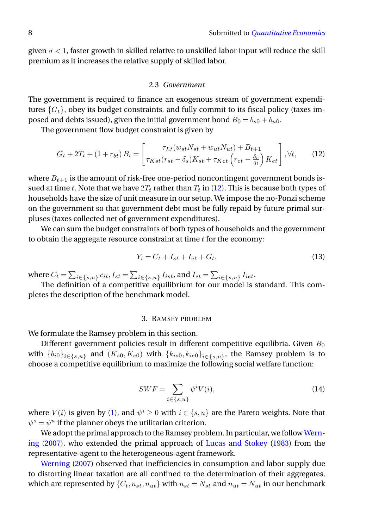given  $\sigma < 1$ , faster growth in skilled relative to unskilled labor input will reduce the skill premium as it increases the relative supply of skilled labor.

#### 2.3 *Government*

The government is required to finance an exogenous stream of government expenditures  ${G<sub>t</sub>}$ , obey its budget constraints, and fully commit to its fiscal policy (taxes imposed and debts issued), given the initial government bond  $B_0 = b_{s0} + b_{u0}$ .

The government flow budget constraint is given by

<span id="page-7-0"></span>
$$
G_t + 2T_t + (1 + r_{bt})B_t = \begin{bmatrix} \tau_{Lt}(w_{st}N_{st} + w_{ut}N_{ut}) + B_{t+1} \\ \tau_{Kst}(r_{st} - \delta_s)K_{st} + \tau_{Ket}\left(r_{et} - \frac{\delta_e}{q_t}\right)K_{et} \end{bmatrix}, \forall t,
$$
 (12)

where  $B_{t+1}$  is the amount of risk-free one-period noncontingent government bonds issued at time t. Note that we have  $2T_t$  rather than  $T_t$  in [\(12\)](#page-7-0). This is because both types of households have the size of unit measure in our setup. We impose the no-Ponzi scheme on the government so that government debt must be fully repaid by future primal surpluses (taxes collected net of government expenditures).

We can sum the budget constraints of both types of households and the government to obtain the aggregate resource constraint at time  $t$  for the economy:

<span id="page-7-1"></span>
$$
Y_t = C_t + I_{st} + I_{et} + G_t,\tag{13}
$$

where  $C_t = \sum_{i \in \{s, u\}} c_{it}, I_{st} = \sum_{i \in \{s, u\}} I_{ist}$ , and  $I_{et} = \sum_{i \in \{s, u\}} I_{iet}$ .

The definition of a competitive equilibrium for our model is standard. This completes the description of the benchmark model.

#### 3. RAMSEY PROBLEM

We formulate the Ramsey problem in this section.

Different government policies result in different competitive equilibria. Given  $B_0$ with  $\{b_{i0}\}_{i\in\{s,u\}}$  and  $(K_{s0},K_{e0})$  with  $\{k_{is0},k_{ie0}\}_{i\in\{s,u\}}$ , the Ramsey problem is to choose a competitive equilibrium to maximize the following social welfare function:

<span id="page-7-2"></span>
$$
SWF = \sum_{i \in \{s, u\}} \psi^i V(i),\tag{14}
$$

where  $V(i)$  is given by [\(1\)](#page-4-4), and  $\psi^i \geq 0$  with  $i \in \{s, u\}$  are the Pareto weights. Note that  $\psi^s = \psi^u$  if the planner obeys the utilitarian criterion.

We adopt the primal approach to the Ramsey problem. In particular, we follow [Wern](#page-38-1)[ing](#page-38-1) [\(2007\)](#page-38-1), who extended the primal approach of [Lucas and Stokey](#page-37-5) [\(1983\)](#page-37-5) from the representative-agent to the heterogeneous-agent framework.

[Werning](#page-38-1) [\(2007\)](#page-38-1) observed that inefficiencies in consumption and labor supply due to distorting linear taxation are all confined to the determination of their aggregates, which are represented by  $\{C_t, n_{st}, n_{ut}\}$  with  $n_{st} = N_{st}$  and  $n_{ut} = N_{ut}$  in our benchmark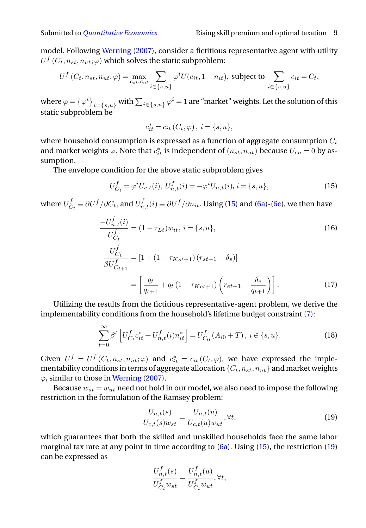model. Following [Werning](#page-38-1) [\(2007\)](#page-38-1), consider a fictitious representative agent with utility  $U^f\left( C_t, n_{st}, n_{ut}; \varphi \right)$  which solves the static subproblem:

$$
U^f(C_t, n_{st}, n_{ut}; \varphi) = \max_{c_{st}, c_{ut}} \sum_{i \in \{s, u\}} \varphi^i U(c_{it}, 1 - n_{it}), \text{ subject to } \sum_{i \in \{s, u\}} c_{it} = C_t,
$$

where  $\varphi=\left\{\varphi^i\right\}_{i=\{s,u\}}$  with  $\sum_{i\in\{s,u\}}\varphi^i=1$  are "market" weights. Let the solution of this static subproblem be

$$
c_{it}^* = c_{it}(C_t, \varphi), \ i = \{s, u\},\
$$

where household consumption is expressed as a function of aggregate consumption  $C_t$ and market weights  $\varphi$ . Note that  $c_{it}^*$  is independent of  $(n_{st},n_{ut})$  because  $U_{cn}=0$  by assumption.

The envelope condition for the above static subproblem gives

<span id="page-8-0"></span>
$$
U_{C_t}^f = \varphi^i U_{c,t}(i), \ U_{n,t}^f(i) = -\varphi^i U_{n,t}(i), \ i = \{s, u\},\tag{15}
$$

where  $U_{C}^{f}$  $C_t^f \equiv \partial U^f/\partial C_t$ , and  $U_{n,t}^f(i) \equiv \partial U^f/\partial n_{it}.$  Using [\(15\)](#page-8-0) and [\(6a\)](#page-5-1)-[\(6c\)](#page-5-1), we then have

$$
\frac{-U_{n,t}^{f}(i)}{U_{C_{t}}^{f}} = (1 - \tau_{Lt})w_{it}, i = \{s, u\},
$$
\n
$$
\frac{U_{C_{t}}^{f}}{\beta U_{C_{t+1}}^{f}} = [1 + (1 - \tau_{Kst+1}) (r_{st+1} - \delta_{s})]
$$
\n
$$
= \left[\frac{q_t}{q_{t+1}} + q_t (1 - \tau_{Ket+1}) \left(r_{et+1} - \frac{\delta_{e}}{q_{t+1}}\right)\right].
$$
\n(17)

Utilizing the results from the fictitious representative-agent problem, we derive the implementability conditions from the household's lifetime budget constraint [\(7\)](#page-5-2):

<span id="page-8-2"></span>
$$
\sum_{t=0}^{\infty} \beta^t \left[ U_{C_t}^f c_{it}^* + U_{n,t}^f(i) n_{it}^* \right] = U_{C_0}^f (A_{i0} + T), \ i \in \{s, u\}.
$$
 (18)

Given  $U^f = U^f(C_t, n_{st}, n_{ut}; \varphi)$  and  $c_{it}^* = c_{it}(C_t, \varphi)$ , we have expressed the implementability conditions in terms of aggregate allocation  $\{C_t, n_{st}, n_{ut}\}$  and market weights  $\varphi$ , similar to those in [Werning](#page-38-1) [\(2007\)](#page-38-1).

Because  $w_{st} = w_{ut}$  need not hold in our model, we also need to impose the following restriction in the formulation of the Ramsey problem:

<span id="page-8-1"></span>
$$
\frac{U_{n,t}(s)}{U_{c,t}(s)w_{st}} = \frac{U_{n,t}(u)}{U_{c,t}(u)w_{ut}}, \forall t,
$$
\n(19)

which guarantees that both the skilled and unskilled households face the same labor marginal tax rate at any point in time according to  $(6a)$ . Using  $(15)$ , the restriction  $(19)$ can be expressed as

$$
\frac{U_{n,t}^f(s)}{U_{C_t}^f w_{st}} = \frac{U_{n,t}^f(u)}{U_{C_t}^f w_{ut}}, \forall t,
$$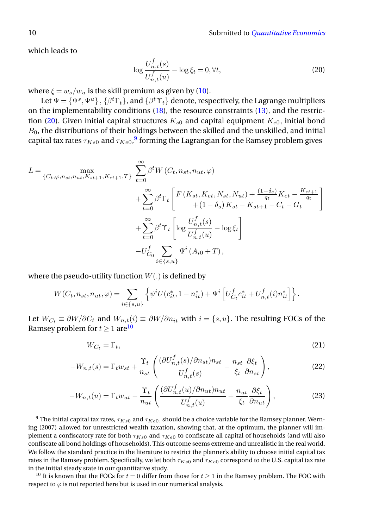which leads to

<span id="page-9-0"></span>
$$
\log \frac{U_{n,t}^f(s)}{U_{n,t}^f(u)} - \log \xi_t = 0, \forall t,
$$
\n(20)

where  $\xi = w_s/w_u$  is the skill premium as given by [\(10\)](#page-6-1).

Let  $\Psi=\{\Psi^s,\Psi^u\}\,,\{\beta^t\Gamma_t\}$ , and  $\{\beta^t\Upsilon_t\}$  denote, respectively, the Lagrange multipliers on the implementability conditions [\(18\)](#page-8-2), the resource constraints [\(13\)](#page-7-1), and the restric-tion [\(20\)](#page-9-0). Given initial capital structures  $K_{s0}$  and capital equipment  $K_{e0}$ , initial bond  $B<sub>0</sub>$ , the distributions of their holdings between the skilled and the unskilled, and initial capital tax rates  $\tau_{Ks0}$  and  $\tau_{Ke0}$ , $^9$  $^9$  forming the Lagrangian for the Ramsey problem gives

$$
L = \max_{\{C_t, \varphi, n_{st}, n_{ut}, K_{st+1}, K_{et+1}, T\}} \sum_{t=0}^{\infty} \beta^t W(C_t, n_{st}, n_{ut}, \varphi)
$$
  
+ 
$$
\sum_{t=0}^{\infty} \beta^t \Gamma_t \left[ F(K_{st}, K_{et}, N_{st}, N_{ut}) + \frac{(1 - \delta_e)}{q_t} K_{et} - \frac{K_{et+1}}{q_t} \right]
$$
  
+ 
$$
\sum_{t=0}^{\infty} \beta^t \Upsilon_t \left[ \log \frac{U_{n,t}^f(s)}{U_{n,t}^f(u)} - \log \xi_t \right]
$$
  
- 
$$
U_{C_0}^f \sum_{i \in \{s, u\}} \Psi^i(A_{i0} + T),
$$

where the pseudo-utility function  $W(.)$  is defined by

$$
W(C_t, n_{st}, n_{ut}, \varphi) = \sum_{i \in \{s, u\}} \left\{ \psi^i U(c_{it}^*, 1 - n_{it}^*) + \Psi^i \left[ U_{C_t}^f c_{it}^* + U_{n, t}^f(i) n_{it}^* \right] \right\}.
$$

Let  $W_{C_t} \equiv \partial W / \partial C_t$  and  $W_{n,t}(i) \equiv \partial W / \partial n_{it}$  with  $i = \{s, u\}$ . The resulting FOCs of the Ramsey problem for  $t > 1$  are  $10$ 

<span id="page-9-3"></span>
$$
W_{C_t} = \Gamma_t,\tag{21}
$$

$$
-W_{n,t}(s) = \Gamma_t w_{st} + \frac{\Upsilon_t}{n_{st}} \left( \frac{(\partial U_{n,t}^f(s)/\partial n_{st}) n_{st}}{U_{n,t}^f(s)} - \frac{n_{st}}{\xi_t} \frac{\partial \xi_t}{\partial n_{st}} \right),\tag{22}
$$

$$
-W_{n,t}(u) = \Gamma_t w_{ut} - \frac{\Upsilon_t}{n_{ut}} \left( \frac{(\partial U_{n,t}^f(u)/\partial n_{ut}) n_{ut}}{U_{n,t}^f(u)} + \frac{n_{ut}}{\xi_t} \frac{\partial \xi_t}{\partial n_{ut}} \right),\tag{23}
$$

<span id="page-9-1"></span><sup>&</sup>lt;sup>9</sup> The initial capital tax rates,  $\tau_{Ks0}$  and  $\tau_{Ke0}$ , should be a choice variable for the Ramsey planner. Werning (2007) allowed for unrestricted wealth taxation, showing that, at the optimum, the planner will implement a confiscatory rate for both  $\tau_{Ks0}$  and  $\tau_{Ke0}$  to confiscate all capital of households (and will also confiscate all bond holdings of households). This outcome seems extreme and unrealistic in the real world. We follow the standard practice in the literature to restrict the planner's ability to choose initial capital tax rates in the Ramsey problem. Specifically, we let both  $\tau_{Ks0}$  and  $\tau_{Ke0}$  correspond to the U.S. capital tax rate in the initial steady state in our quantitative study.

<span id="page-9-2"></span><sup>&</sup>lt;sup>10</sup> It is known that the FOCs for  $t = 0$  differ from those for  $t \ge 1$  in the Ramsey problem. The FOC with respect to  $\varphi$  is not reported here but is used in our numerical analysis.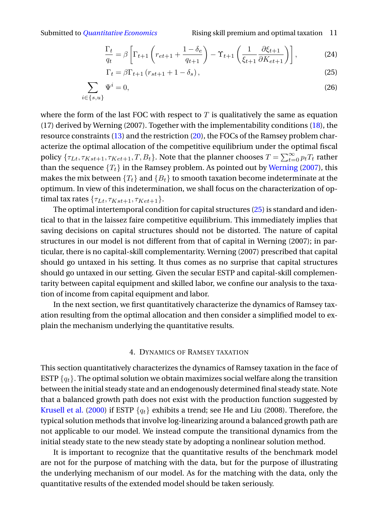Submitted to *[Quantitative Economics](http://qeconomics.org)* Rising skill premium and optimal taxation 11

$$
\frac{\Gamma_t}{q_t} = \beta \left[ \Gamma_{t+1} \left( r_{et+1} + \frac{1 - \delta_e}{q_{t+1}} \right) - \Upsilon_{t+1} \left( \frac{1}{\xi_{t+1}} \frac{\partial \xi_{t+1}}{\partial K_{et+1}} \right) \right],\tag{24}
$$

$$
\Gamma_t = \beta \Gamma_{t+1} \left( r_{st+1} + 1 - \delta_s \right),\tag{25}
$$

$$
\sum_{i \in \{s, u\}} \Psi^i = 0,\tag{26}
$$

where the form of the last FOC with respect to  $T$  is qualitatively the same as equation (17) derived by Werning (2007). Together with the implementability conditions [\(18\)](#page-8-2), the resource constraints [\(13\)](#page-7-1) and the restriction [\(20\)](#page-9-0), the FOCs of the Ramsey problem characterize the optimal allocation of the competitive equilibrium under the optimal fiscal policy  $\{\tau_{Lt}, \tau_{Kst+1}, \tau_{Ket+1}, T, B_t\}$ . Note that the planner chooses  $T = \sum_{t=0}^{\infty} p_t T_t$  rather than the sequence  ${T_t}$  in the Ramsey problem. As pointed out by [Werning](#page-38-1) [\(2007\)](#page-38-1), this makes the mix between  $\{T_t\}$  and  $\{B_t\}$  to smooth taxation become indeterminate at the optimum. In view of this indetermination, we shall focus on the characterization of optimal tax rates  $\{\tau_{Lt}, \tau_{Kst+1}, \tau_{Ket+1}\}.$ 

The optimal intertemporal condition for capital structures [\(25\)](#page-9-3) is standard and identical to that in the laissez faire competitive equilibrium. This immediately implies that saving decisions on capital structures should not be distorted. The nature of capital structures in our model is not different from that of capital in Werning (2007); in particular, there is no capital-skill complementarity. Werning (2007) prescribed that capital should go untaxed in his setting. It thus comes as no surprise that capital structures should go untaxed in our setting. Given the secular ESTP and capital-skill complementarity between capital equipment and skilled labor, we confine our analysis to the taxation of income from capital equipment and labor.

In the next section, we first quantitatively characterize the dynamics of Ramsey taxation resulting from the optimal allocation and then consider a simplified model to explain the mechanism underlying the quantitative results.

### 4. DYNAMICS OF RAMSEY TAXATION

This section quantitatively characterizes the dynamics of Ramsey taxation in the face of ESTP  $\{q_t\}$ . The optimal solution we obtain maximizes social welfare along the transition between the initial steady state and an endogenously determined final steady state. Note that a balanced growth path does not exist with the production function suggested by [Krusell et al.](#page-37-1) [\(2000\)](#page-37-1) if ESTP  $\{q_t\}$  exhibits a trend; see He and Liu (2008). Therefore, the typical solution methods that involve log-linearizing around a balanced growth path are not applicable to our model. We instead compute the transitional dynamics from the initial steady state to the new steady state by adopting a nonlinear solution method.

It is important to recognize that the quantitative results of the benchmark model are not for the purpose of matching with the data, but for the purpose of illustrating the underlying mechanism of our model. As for the matching with the data, only the quantitative results of the extended model should be taken seriously.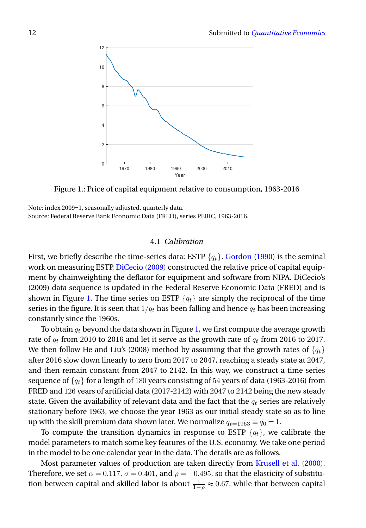<span id="page-11-0"></span>

Figure 1.: Price of capital equipment relative to consumption, 1963-2016

Note: index 2009=1, seasonally adjusted, quarterly data. Source: Federal Reserve Bank Economic Data (FRED), series PERIC, 1963-2016.

# 4.1 *Calibration*

First, we briefly describe the time-series data: ESTP  $\{q_t\}$ . [Gordon](#page-36-8) [\(1990\)](#page-36-8) is the seminal work on measuring ESTP. [DiCecio](#page-36-9) [\(2009\)](#page-36-9) constructed the relative price of capital equipment by chainweighting the deflator for equipment and software from NIPA. DiCecio's (2009) data sequence is updated in the Federal Reserve Economic Data (FRED) and is shown in Figure [1.](#page-11-0) The time series on ESTP  $\{q_t\}$  are simply the reciprocal of the time series in the figure. It is seen that  $1/q_t$  has been falling and hence  $q_t$  has been increasing constantly since the 1960s.

To obtain  $q_t$  beyond the data shown in Figure [1,](#page-11-0) we first compute the average growth rate of  $q_t$  from 2010 to 2016 and let it serve as the growth rate of  $q_t$  from 2016 to 2017. We then follow He and Liu's (2008) method by assuming that the growth rates of  $\{q_t\}$ after 2016 slow down linearly to zero from 2017 to 2047, reaching a steady state at 2047, and then remain constant from 2047 to 2142. In this way, we construct a time series sequence of  $\{q_t\}$  for a length of 180 years consisting of 54 years of data (1963-2016) from FRED and 126 years of artificial data (2017-2142) with 2047 to 2142 being the new steady state. Given the availability of relevant data and the fact that the  $q_t$  series are relatively stationary before 1963, we choose the year 1963 as our initial steady state so as to line up with the skill premium data shown later. We normalize  $q_{t=1963} \equiv q_0 = 1$ .

To compute the transition dynamics in response to ESTP  $\{q_t\}$ , we calibrate the model parameters to match some key features of the U.S. economy. We take one period in the model to be one calendar year in the data. The details are as follows.

Most parameter values of production are taken directly from [Krusell et al.](#page-37-1) [\(2000\)](#page-37-1). Therefore, we set  $\alpha = 0.117$ ,  $\sigma = 0.401$ , and  $\rho = -0.495$ , so that the elasticity of substitution between capital and skilled labor is about  $\frac{1}{1-\rho} \approx 0.67$ , while that between capital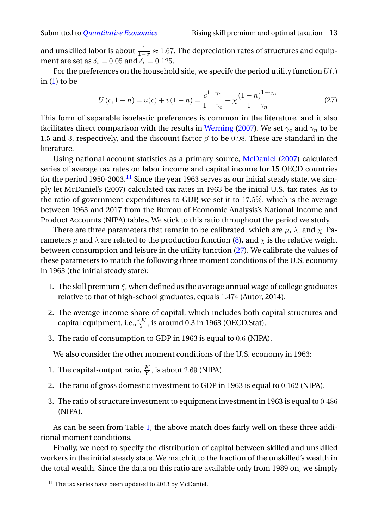and unskilled labor is about  $\frac{1}{1-\sigma} \approx 1.67$ . The depreciation rates of structures and equipment are set as  $\delta_s = 0.05$  and  $\delta_e = 0.125$ .

For the preferences on the household side, we specify the period utility function  $U(.)$ in  $(1)$  to be

<span id="page-12-1"></span>
$$
U(c, 1 - n) = u(c) + v(1 - n) = \frac{c^{1 - \gamma_c}}{1 - \gamma_c} + \chi \frac{(1 - n)^{1 - \gamma_n}}{1 - \gamma_n}.
$$
 (27)

This form of separable isoelastic preferences is common in the literature, and it also facilitates direct comparison with the results in [Werning](#page-38-1) [\(2007\)](#page-38-1). We set  $\gamma_c$  and  $\gamma_n$  to be 1.5 and 3, respectively, and the discount factor  $\beta$  to be 0.98. These are standard in the literature.

Using national account statistics as a primary source, [McDaniel](#page-37-13) [\(2007\)](#page-37-13) calculated series of average tax rates on labor income and capital income for 15 OECD countries for the period 1950-2003.<sup>[11](#page-12-0)</sup> Since the year 1963 serves as our initial steady state, we simply let McDaniel's (2007) calculated tax rates in 1963 be the initial U.S. tax rates. As to the ratio of government expenditures to GDP, we set it to 17.5%, which is the average between 1963 and 2017 from the Bureau of Economic Analysis's National Income and Product Accounts (NIPA) tables. We stick to this ratio throughout the period we study.

There are three parameters that remain to be calibrated, which are  $\mu$ ,  $\lambda$ , and  $\chi$ . Parameters  $\mu$  and  $\lambda$  are related to the production function [\(8\)](#page-6-0), and  $\chi$  is the relative weight between consumption and leisure in the utility function [\(27\)](#page-12-1). We calibrate the values of these parameters to match the following three moment conditions of the U.S. economy in 1963 (the initial steady state):

- 1. The skill premium  $\xi$ , when defined as the average annual wage of college graduates relative to that of high-school graduates, equals 1.474 (Autor, 2014).
- 2. The average income share of capital, which includes both capital structures and capital equipment, i.e.,  $\frac{rK}{Y},$  is around 0.3 in 1963 (OECD.Stat).
- 3. The ratio of consumption to GDP in 1963 is equal to 0.6 (NIPA).

We also consider the other moment conditions of the U.S. economy in 1963:

- 1. The capital-output ratio,  $\frac{K}{Y}$ , is about 2.69 (NIPA).
- 2. The ratio of gross domestic investment to GDP in 1963 is equal to 0.162 (NIPA).
- 3. The ratio of structure investment to equipment investment in 1963 is equal to 0.486 (NIPA).

As can be seen from Table [1,](#page-13-0) the above match does fairly well on these three additional moment conditions.

Finally, we need to specify the distribution of capital between skilled and unskilled workers in the initial steady state. We match it to the fraction of the unskilled's wealth in the total wealth. Since the data on this ratio are available only from 1989 on, we simply

<span id="page-12-0"></span> $11$  The tax series have been updated to 2013 by McDaniel.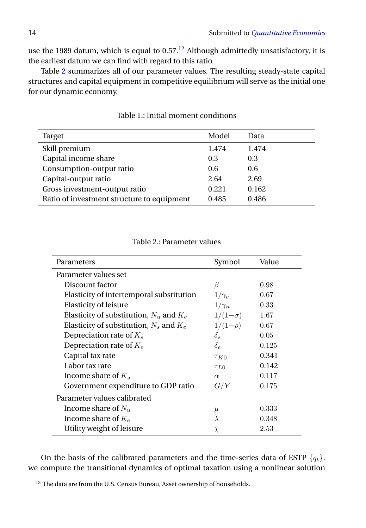use the 1989 datum, which is equal to  $0.57<sup>12</sup>$  $0.57<sup>12</sup>$  $0.57<sup>12</sup>$  Although admittedly unsatisfactory, it is the earliest datum we can find with regard to this ratio.

Table [2](#page-13-2) summarizes all of our parameter values. The resulting steady-state capital structures and capital equipment in competitive equilibrium will serve as the initial one for our dynamic economy.

<span id="page-13-0"></span>

| Target                                     | Model | Data  |
|--------------------------------------------|-------|-------|
| Skill premium                              | 1.474 | 1.474 |
| Capital income share                       | 0.3   | 0.3   |
| Consumption-output ratio                   | 0.6   | 0.6   |
| Capital-output ratio                       | 2.64  | 2.69  |
| Gross investment-output ratio              | 0.221 | 0.162 |
| Ratio of investment structure to equipment | 0.485 | 0.486 |

Table 1.: Initial moment conditions

<span id="page-13-2"></span>

| Parameters                                  | Symbol         | Value |
|---------------------------------------------|----------------|-------|
| Parameter values set                        |                |       |
| Discount factor                             | B              | 0.98  |
| Elasticity of intertemporal substitution    | $1/\gamma_c$   | 0.67  |
| <b>Elasticity of leisure</b>                | $1/\gamma_n$   | 0.33  |
| Elasticity of substitution, $N_u$ and $K_e$ | $1/(1-\sigma)$ | 1.67  |
| Elasticity of substitution, $N_s$ and $K_e$ | $1/(1-\rho)$   | 0.67  |
| Depreciation rate of $K_s$                  | $\delta_s$     | 0.05  |
| Depreciation rate of $K_e$                  | $\delta_e$     | 0.125 |
| Capital tax rate                            | $\tau_{K0}$    | 0.341 |
| Labor tax rate                              | $\tau_{L0}$    | 0.142 |
| Income share of $K_s$                       | $\alpha$       | 0.117 |
| Government expenditure to GDP ratio         | G/Y            | 0.175 |
| Parameter values calibrated                 |                |       |
| Income share of $N_u$                       | $\mu$          | 0.333 |
| Income share of $K_e$                       | $\lambda$      | 0.348 |
| Utility weight of leisure                   | $\chi$         | 2.53  |

# Table 2.: Parameter values

On the basis of the calibrated parameters and the time-series data of ESTP  $\{q_t\}$ , we compute the transitional dynamics of optimal taxation using a nonlinear solution

<span id="page-13-1"></span> $12$  The data are from the U.S. Census Bureau, Asset ownership of households.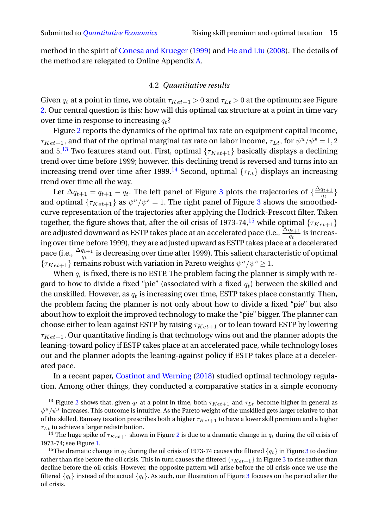method in the spirit of [Conesa and Krueger](#page-36-10) [\(1999\)](#page-36-10) and [He and Liu](#page-37-10) [\(2008\)](#page-37-10). The details of the method are relegated to Online Appendix [A.](#page-0-1)

# 4.2 *Quantitative results*

Given  $q_t$  at a point in time, we obtain  $\tau_{Ket+1} > 0$  and  $\tau_{Lt} > 0$  at the optimum; see Figure [2.](#page-15-0) Our central question is this: how will this optimal tax structure at a point in time vary over time in response to increasing  $q_t$ ?

Figure [2](#page-15-0) reports the dynamics of the optimal tax rate on equipment capital income,  $\tau_{Ket+1}$ , and that of the optimal marginal tax rate on labor income,  $\tau_{Lt}$ , for  $\psi^u/\psi^s=1,2$ and  $5.^{13}$  $5.^{13}$  $5.^{13}$  Two features stand out. First, optimal  $\{\tau_{Ket+1}\}$  basically displays a declining trend over time before 1999; however, this declining trend is reversed and turns into an increasing trend over time after 1999.<sup>[14](#page-14-1)</sup> Second, optimal  $\{\tau_{Lt}\}$  displays an increasing trend over time all the way.

Let  $\Delta q_{t+1} = q_{t+1} - q_t$ . The left panel of Figure [3](#page-15-1) plots the trajectories of  $\{\frac{\Delta q_{t+1}}{q_t}$  $\frac{q_{t+1}}{q_t}$  } and optimal  $\{\tau_{Ket+1}\}$  as  $\psi^u/\psi^s = 1$ . The right panel of Figure [3](#page-15-1) shows the smoothedcurve representation of the trajectories after applying the Hodrick-Prescott filter. Taken together, the figure shows that, after the oil crisis of 1973-74,<sup>[15](#page-14-2)</sup> while optimal { $\tau_{Ket+1}$ } are adjusted downward as ESTP takes place at an accelerated pace (i.e.,  $\frac{\Delta q_{t+1}}{q_t}$  is increasing over time before 1999), they are adjusted upward as ESTP takes place at a decelerated pace (i.e.,  $\frac{\Delta q_{t+1}}{q_t}$  is decreasing over time after 1999). This salient characteristic of optimal  $\{\tau_{Ket+1}\}$  remains robust with variation in Pareto weights  $\psi^u/\psi^s \geq 1$ .

When  $q_t$  is fixed, there is no ESTP. The problem facing the planner is simply with regard to how to divide a fixed "pie" (associated with a fixed  $q_t$ ) between the skilled and the unskilled. However, as  $q_t$  is increasing over time, ESTP takes place constantly. Then, the problem facing the planner is not only about how to divide a fixed "pie" but also about how to exploit the improved technology to make the "pie" bigger. The planner can choose either to lean against ESTP by raising  $\tau_{Ket+1}$  or to lean toward ESTP by lowering  $\tau_{Ket+1}$ . Our quantitative finding is that technology wins out and the planner adopts the leaning-toward policy if ESTP takes place at an accelerated pace, while technology loses out and the planner adopts the leaning-against policy if ESTP takes place at a decelerated pace.

In a recent paper, [Costinot and Werning](#page-36-3) [\(2018\)](#page-36-3) studied optimal technology regulation. Among other things, they conducted a comparative statics in a simple economy

<span id="page-14-0"></span><sup>&</sup>lt;sup>13</sup> Figure [2](#page-15-0) shows that, given  $q_t$  at a point in time, both  $\tau_{Ket+1}$  and  $\tau_{Lt}$  become higher in general as  $\psi^u/\psi^s$  increases. This outcome is intuitive. As the Pareto weight of the unskilled gets larger relative to that of the skilled, Ramsey taxation prescribes both a higher  $\tau_{Ket+1}$  to have a lower skill premium and a higher  $\tau_{Lt}$  to achieve a larger redistribution.

<span id="page-14-1"></span><sup>&</sup>lt;sup>14</sup> The huge spike of  $\tau_{Ket+1}$  shown in Figure [2](#page-15-0) is due to a dramatic change in  $q_t$  during the oil crisis of 1973-74; see Figure [1.](#page-11-0)

<span id="page-14-2"></span><sup>&</sup>lt;sup>15</sup>The dramatic change in  $q_t$  during the oil crisis of 197[3](#page-15-1)-74 causes the filtered  $\{q_t\}$  in Figure 3 to decline rather than rise before the oil crisis. This in turn causes the filtered  $\{\tau_{Ket+1}\}$  in Figure [3](#page-15-1) to rise rather than decline before the oil crisis. However, the opposite pattern will arise before the oil crisis once we use the filtered  ${q_t}$  instead of the actual  ${q_t}$ . As such, our illustration of Figure [3](#page-15-1) focuses on the period after the oil crisis.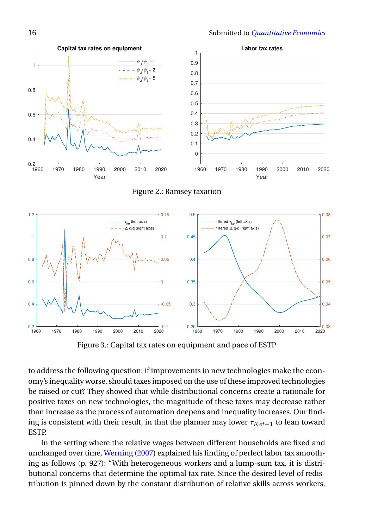<span id="page-15-0"></span>

Figure 2.: Ramsey taxation

<span id="page-15-1"></span>

Figure 3.: Capital tax rates on equipment and pace of ESTP

to address the following question: if improvements in new technologies make the economy's inequality worse, should taxes imposed on the use of these improved technologies be raised or cut? They showed that while distributional concerns create a rationale for positive taxes on new technologies, the magnitude of these taxes may decrease rather than increase as the process of automation deepens and inequality increases. Our finding is consistent with their result, in that the planner may lower  $\tau_{Ket+1}$  to lean toward ESTP.

In the setting where the relative wages between different households are fixed and unchanged over time, [Werning](#page-38-1) [\(2007\)](#page-38-1) explained his finding of perfect labor tax smoothing as follows (p. 927): "With heterogeneous workers and a lump-sum tax, it is distributional concerns that determine the optimal tax rate. Since the desired level of redistribution is pinned down by the constant distribution of relative skills across workers,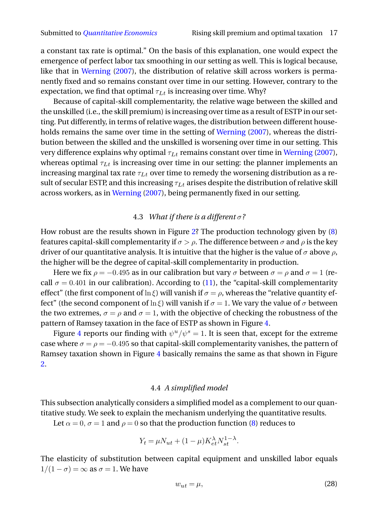a constant tax rate is optimal." On the basis of this explanation, one would expect the emergence of perfect labor tax smoothing in our setting as well. This is logical because, like that in [Werning](#page-38-1) [\(2007\)](#page-38-1), the distribution of relative skill across workers is permanently fixed and so remains constant over time in our setting. However, contrary to the expectation, we find that optimal  $\tau_{Lt}$  is increasing over time. Why?

Because of capital-skill complementarity, the relative wage between the skilled and the unskilled (i.e., the skill premium) is increasing over time as a result of ESTP in our setting. Put differently, in terms of relative wages, the distribution between different households remains the same over time in the setting of [Werning](#page-38-1) [\(2007\)](#page-38-1), whereas the distribution between the skilled and the unskilled is worsening over time in our setting. This very difference explains why optimal  $\tau_{Lt}$  remains constant over time in [Werning](#page-38-1) [\(2007\)](#page-38-1), whereas optimal  $\tau_{Lt}$  is increasing over time in our setting: the planner implements an increasing marginal tax rate  $\tau_{Lt}$  over time to remedy the worsening distribution as a result of secular ESTP, and this increasing  $\tau_{Lt}$  arises despite the distribution of relative skill across workers, as in [Werning](#page-38-1) [\(2007\)](#page-38-1), being permanently fixed in our setting.

# 4.3 *What if there is a different* σ*?*

How robust are the results shown in Figure [2?](#page-15-0) The production technology given by [\(8\)](#page-6-0) features capital-skill complementarity if  $\sigma > \rho$ . The difference between  $\sigma$  and  $\rho$  is the key driver of our quantitative analysis. It is intuitive that the higher is the value of  $\sigma$  above  $\rho$ , the higher will be the degree of capital-skill complementarity in production.

Here we fix  $\rho = -0.495$  as in our calibration but vary  $\sigma$  between  $\sigma = \rho$  and  $\sigma = 1$  (recall  $\sigma = 0.401$  in our calibration). According to [\(11\)](#page-6-2), the "capital-skill complementarity effect" (the first component of  $\ln \xi$ ) will vanish if  $\sigma = \rho$ , whereas the "relative quantity effect" (the second component of ln ξ) will vanish if  $\sigma = 1$ . We vary the value of  $\sigma$  between the two extremes,  $\sigma = \rho$  and  $\sigma = 1$ , with the objective of checking the robustness of the pattern of Ramsey taxation in the face of ESTP as shown in Figure [4.](#page-17-0)

Figure [4](#page-17-0) reports our finding with  $\psi^u/\psi^s = 1$ . It is seen that, except for the extreme case where  $\sigma = \rho = -0.495$  so that capital-skill complementarity vanishes, the pattern of Ramsey taxation shown in Figure [4](#page-17-0) basically remains the same as that shown in Figure [2.](#page-15-0)

# 4.4 *A simplified model*

This subsection analytically considers a simplified model as a complement to our quantitative study. We seek to explain the mechanism underlying the quantitative results.

Let  $\alpha = 0$ ,  $\sigma = 1$  and  $\rho = 0$  so that the production function [\(8\)](#page-6-0) reduces to

$$
Y_t = \mu N_{ut} + (1 - \mu) K_{et}^{\lambda} N_{st}^{1 - \lambda}.
$$

The elasticity of substitution between capital equipment and unskilled labor equals  $1/(1 - \sigma) = \infty$  as  $\sigma = 1$ . We have

<span id="page-16-0"></span>
$$
w_{ut} = \mu,\tag{28}
$$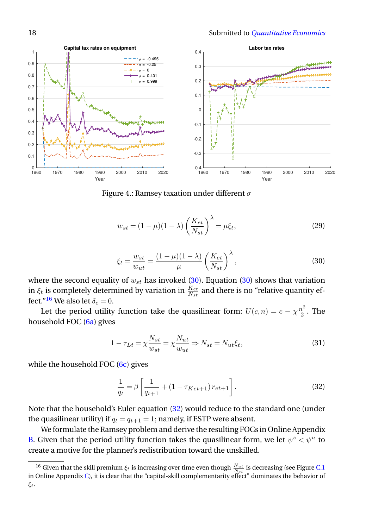<span id="page-17-0"></span>

Figure 4.: Ramsey taxation under different  $\sigma$ 

<span id="page-17-5"></span>
$$
w_{st} = (1 - \mu)(1 - \lambda) \left(\frac{K_{et}}{N_{st}}\right)^{\lambda} = \mu \xi_t,
$$
\n(29)

<span id="page-17-1"></span>
$$
\xi_t = \frac{w_{st}}{w_{ut}} = \frac{(1 - \mu)(1 - \lambda)}{\mu} \left(\frac{K_{et}}{N_{st}}\right)^{\lambda},\tag{30}
$$

where the second equality of  $w_{st}$  has invoked [\(30\)](#page-17-1). Equation (30) shows that variation in  $\xi_t$  is completely determined by variation in  $\frac{K_{et}}{N_{st}}$  and there is no "relative quantity ef-fect."<sup>[16](#page-17-2)</sup> We also let  $\delta_e = 0$ .

Let the period utility function take the quasilinear form:  $U(c,n) = c - \chi \frac{n^2}{2}$  $\frac{i}{2}$ . The household FOC [\(6a\)](#page-5-1) gives

<span id="page-17-4"></span>
$$
1 - \tau_{Lt} = \chi \frac{N_{st}}{w_{st}} = \chi \frac{N_{ut}}{w_{ut}} \Rightarrow N_{st} = N_{ut} \xi_t,
$$
\n(31)

while the household FOC  $(6c)$  gives

<span id="page-17-3"></span>
$$
\frac{1}{q_t} = \beta \left[ \frac{1}{q_{t+1}} + (1 - \tau_{Ket+1}) r_{et+1} \right].
$$
\n(32)

Note that the household's Euler equation [\(32\)](#page-17-3) would reduce to the standard one (under the quasilinear utility) if  $q_t = q_{t+1} = 1$ ; namely, if ESTP were absent.

We formulate the Ramsey problem and derive the resulting FOCs in Online Appendix [B.](#page-0-1) Given that the period utility function takes the quasilinear form, we let  $\psi^s < \psi^u$  to create a motive for the planner's redistribution toward the unskilled.

<span id="page-17-2"></span><sup>&</sup>lt;sup>16</sup> Given that the skill premium  $\xi_t$  is increasing over time even though  $\frac{N_{ut}}{N_{st}}$  is decreasing (see Figure [C.1](#page-11-0) in Online Appendix [C\)](#page-0-1), it is clear that the "capital-skill complementarity effect" dominates the behavior of ξt.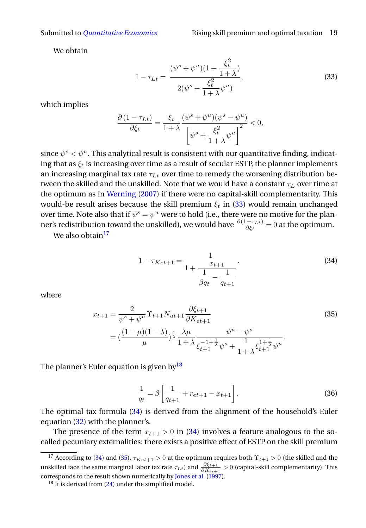We obtain

<span id="page-18-0"></span>
$$
1 - \tau_{Lt} = \frac{(\psi^s + \psi^u)(1 + \frac{\xi_t^2}{1 + \lambda})}{2(\psi^s + \frac{\xi_t^2}{1 + \lambda}\psi^u)},
$$
(33)

which implies

$$
\frac{\partial (1 - \tau_{Lt})}{\partial \xi_t} = \frac{\xi_t}{1 + \lambda} \frac{(\psi^s + \psi^u)(\psi^s - \psi^u)}{\left[\psi^s + \frac{\xi_t^2}{1 + \lambda}\psi^u\right]^2} < 0,
$$

since  $\psi^s < \psi^u$ . This analytical result is consistent with our quantitative finding, indicating that as  $\xi_t$  is increasing over time as a result of secular ESTP, the planner implements an increasing marginal tax rate  $\tau_{Lt}$  over time to remedy the worsening distribution between the skilled and the unskilled. Note that we would have a constant  $\tau_L$  over time at the optimum as in [Werning](#page-38-1) [\(2007\)](#page-38-1) if there were no capital-skill complementarity. This would-be result arises because the skill premium  $\xi_t$  in [\(33\)](#page-18-0) would remain unchanged over time. Note also that if  $\psi^s = \psi^u$  were to hold (i.e., there were no motive for the planner's redistribution toward the unskilled), we would have  $\frac{\partial (1-\tau_{Lt})}{\partial \xi_t}=0$  at the optimum.

We also obtain<sup>[17](#page-18-1)</sup>

<span id="page-18-3"></span>
$$
1 - \tau_{Ket+1} = \frac{1}{1 + \frac{x_{t+1}}{\frac{1}{\beta q_t} - \frac{1}{q_{t+1}}}},
$$
\n(34)

where

<span id="page-18-4"></span>
$$
x_{t+1} = \frac{2}{\psi^s + \psi^u} \Upsilon_{t+1} N_{ut+1} \frac{\partial \xi_{t+1}}{\partial K_{et+1}}
$$
  
= 
$$
(\frac{(1-\mu)(1-\lambda)}{\mu})^{\frac{1}{\lambda}} \frac{\lambda \mu}{1+\lambda} \frac{\psi^u - \psi^s}{\xi_{t+1}^{-1+\frac{1}{\lambda}} \psi^s + \frac{1}{1+\lambda} \xi_{t+1}^{1+\frac{1}{\lambda}} \psi^u}.
$$
 (35)

The planner's Euler equation is given by  $18$ 

<span id="page-18-5"></span>
$$
\frac{1}{q_t} = \beta \left[ \frac{1}{q_{t+1}} + r_{et+1} - x_{t+1} \right].
$$
\n(36)

The optimal tax formula [\(34\)](#page-18-3) is derived from the alignment of the household's Euler equation [\(32\)](#page-17-3) with the planner's.

The presence of the term  $x_{t+1} > 0$  in [\(34\)](#page-18-3) involves a feature analogous to the socalled pecuniary externalities: there exists a positive effect of ESTP on the skill premium

<span id="page-18-1"></span><sup>&</sup>lt;sup>17</sup> According to [\(34\)](#page-18-3) and [\(35\)](#page-18-4),  $\tau_{Ket+1} > 0$  at the optimum requires both  $\Upsilon_{t+1} > 0$  (the skilled and the unskilled face the same marginal labor tax rate  $\tau_{Lt}$ ) and  $\frac{\partial \xi_{t+1}}{\partial K_{et+1}} > 0$  (capital-skill complementarity). This corresponds to the result shown numerically by [Jones et al.](#page-37-9) [\(1997\)](#page-37-9).

<span id="page-18-2"></span><sup>&</sup>lt;sup>18</sup> It is derived from [\(24\)](#page-9-3) under the simplified model.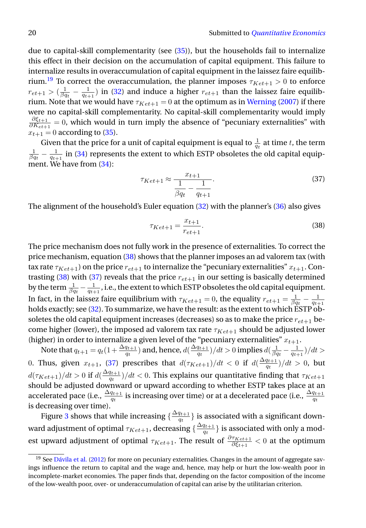due to capital-skill complementarity (see [\(35\)](#page-18-4)), but the households fail to internalize this effect in their decision on the accumulation of capital equipment. This failure to internalize results in overaccumulation of capital equipment in the laissez faire equilib-rium.<sup>[19](#page-19-0)</sup> To correct the overaccumulation, the planner imposes  $\tau_{Ket+1} > 0$  to enforce  $r_{et+1} > (\frac{1}{\beta q_t} - \frac{1}{q_{t+1}})$  in [\(32\)](#page-17-3) and induce a higher  $r_{et+1}$  than the laissez faire equilibrium. Note that we would have  $\tau_{Ket+1} = 0$  at the optimum as in [Werning](#page-38-1) [\(2007\)](#page-38-1) if there were no capital-skill complementarity. No capital-skill complementarity would imply  $\partial \xi_{t+1}$  $\frac{\partial \mathcal{S}_{t+1}}{\partial K_{e^{t+1}}} = 0$ , which would in turn imply the absence of "pecuniary externalities" with  $x_{t+1} = 0$  according to [\(35\)](#page-18-4).

Given that the price for a unit of capital equipment is equal to  $\frac{1}{a_t}$  at time t, the term Siven that the price for a time of capital equipment is equal to  $\frac{q_t}{q_t}$  at time t, the term<br>  $\frac{1}{\beta q_t} - \frac{1}{q_{t+1}}$  in [\(34\)](#page-18-3) represents the extent to which ESTP obsoletes the old capital equipment. We have from [\(34\)](#page-18-3):

<span id="page-19-2"></span>
$$
\tau_{Ket+1} \approx \frac{x_{t+1}}{\frac{1}{\beta q_t} - \frac{1}{q_{t+1}}}.\tag{37}
$$

The alignment of the household's Euler equation [\(32\)](#page-17-3) with the planner's [\(36\)](#page-18-5) also gives

<span id="page-19-1"></span>
$$
\tau_{Ket+1} = \frac{x_{t+1}}{r_{et+1}}.\tag{38}
$$

The price mechanism does not fully work in the presence of externalities. To correct the price mechanism, equation [\(38\)](#page-19-1) shows that the planner imposes an ad valorem tax (with tax rate  $\tau_{Ket+1}$ ) on the price  $r_{et+1}$  to internalize the "pecuniary externalities"  $x_{t+1}$ . Con-trasting [\(38\)](#page-19-1) with [\(37\)](#page-19-2) reveals that the price  $r_{et+1}$  in our setting is basically determined by the term  $\frac{1}{\beta q_t}-\frac{1}{q_{t+1}}$ , i.e., the extent to which ESTP obsoletes the old capital equipment. In fact, in the laissez faire equilibrium with  $\tau_{Ket+1} = 0$ , the equality  $r_{et+1} = \frac{1}{\beta q_t} - \frac{1}{q_{t+1}}$ holds exactly; see [\(32\)](#page-17-3). To summarize, we have the result: as the extent to which ESTP obsoletes the old capital equipment increases (decreases) so as to make the price  $r_{et+1}$  become higher (lower), the imposed ad valorem tax rate  $\tau_{Ket+1}$  should be adjusted lower (higher) in order to internalize a given level of the "pecuniary externalities"  $x_{t+1}$ .

Note that  $q_{t+1} = q_t(1+\frac{\Delta q_{t+1}}{q_t})$  and, hence,  $d(\frac{\Delta q_{t+1}}{q_t})$  $\frac{q_{t+1}}{q_{t}})/dt > 0$  implies  $d(\frac{1}{\beta q_{t}}-\frac{1}{q_{t+1}})/dt > 0$ 0. Thus, given  $x_{t+1}$ , [\(37\)](#page-19-2) prescribes that  $d(\tau_{Ket+1})/dt < 0$  if  $d(\frac{\Delta q_{t+1}}{q_t})$  $\frac{q_{t+1}}{q_t})/dt > 0$ , but  $d(\tau_{Ket+1})/dt > 0$  if  $d(\frac{\Delta q_{t+1}}{q_t})$  $\frac{q_{t+1}}{q_t})/dt < 0.$  This explains our quantitative finding that  $\tau_{K e t+1}$ should be adjusted downward or upward according to whether ESTP takes place at an accelerated pace (i.e.,  $\frac{\Delta q_{t+1}}{q_t}$  is increasing over time) or at a decelerated pace (i.e.,  $\frac{\Delta q_{t+1}}{q_t}$ is decreasing over time).

Figure [3](#page-15-1) shows that while increasing  $\{\frac{\Delta q_{t+1}}{q_t}$  $\left\{\frac{q_{t+1}}{q_t}\right\}$  is associated with a significant downward adjustment of optimal  $\tau_{Ket+1}$ , decreasing  $\{\frac{\Delta q_{t+1}}{q_{t}}\}$  $\left\{\frac{q_{t+1}}{q_t}\right\}$  is associated with only a modest upward adjustment of optimal  $\tau_{Ket+1}$ . The result of  $\frac{\partial \tau_{Ket+1}}{\partial \xi_{t+1}} < 0$  at the optimum

<span id="page-19-0"></span><sup>&</sup>lt;sup>19</sup> See [Dávila et al.](#page-36-11) [\(2012\)](#page-36-11) for more on pecuniary externalities. Changes in the amount of aggregate savings influence the return to capital and the wage and, hence, may help or hurt the low-wealth poor in incomplete-market economies. The paper finds that, depending on the factor composition of the income of the low-wealth poor, over- or underaccumulation of capital can arise by the utilitarian criterion.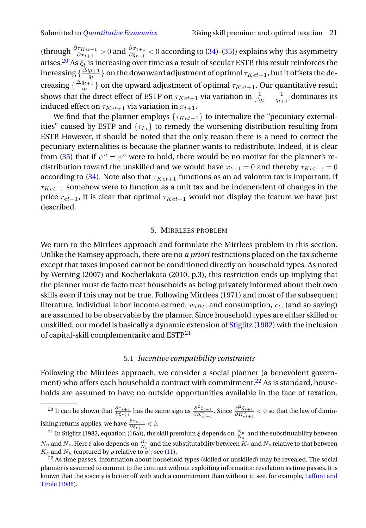(through  $\frac{\partial \tau_{Ket+1}}{\partial x_{t+1}}>0$  and  $\frac{\partial x_{t+1}}{\partial \xi_{t+1}}<0$  according to [\(34\)](#page-18-3)-[\(35\)](#page-18-4)) explains why this asymmetry arises.<sup>[20](#page-20-0)</sup> As  $\xi_t$  is increasing over time as a result of secular ESTP, this result reinforces the increasing { $\frac{\Delta q_{t+1}}{q_t}$  $\left\{ \frac{q_{t+1}}{q_t} \right\}$  on the downward adjustment of optimal  $\tau_{Ket+1}$ , but it offsets the decreasing  $\frac{\Delta q_{t+1}}{q_t}$  $\left\{\frac{q_{t+1}}{q_t}\right\}$  on the upward adjustment of optimal  $\tau_{Ket+1}.$  Our quantitative result shows that the direct effect of ESTP on  $\tau_{Ket+1}$  via variation in  $\frac{1}{\beta q_t}-\frac{1}{q_{t+1}}$  dominates its induced effect on  $\tau_{Ket+1}$  via variation in  $x_{t+1}$ .

We find that the planner employs  $\{\tau_{Ket+1}\}$  to internalize the "pecuniary externalities" caused by ESTP and  $\{\tau_{Lt}\}$  to remedy the worsening distribution resulting from ESTP. However, it should be noted that the only reason there is a need to correct the pecuniary externalities is because the planner wants to redistribute. Indeed, it is clear from [\(35\)](#page-18-4) that if  $\psi^u = \psi^s$  were to hold, there would be no motive for the planner's redistribution toward the unskilled and we would have  $x_{t+1} = 0$  and thereby  $\tau_{Ket+1} = 0$ according to [\(34\)](#page-18-3). Note also that  $\tau_{Ket+1}$  functions as an ad valorem tax is important. If  $\tau_{Ket+1}$  somehow were to function as a unit tax and be independent of changes in the price  $r_{et+1}$ , it is clear that optimal  $\tau_{Ket+1}$  would not display the feature we have just described.

#### 5. MIRRLEES PROBLEM

We turn to the Mirrlees approach and formulate the Mirrlees problem in this section. Unlike the Ramsey approach, there are no *a priori* restrictions placed on the tax scheme except that taxes imposed cannot be conditioned directly on household types. As noted by Werning (2007) and Kocherlakota (2010, p.3), this restriction ends up implying that the planner must de facto treat households as being privately informed about their own skills even if this may not be true. Following Mirrlees (1971) and most of the subsequent literature, individual labor income earned,  $w_t n_t$ , and consumption,  $c_t$ , (and so saving) are assumed to be observable by the planner. Since household types are either skilled or unskilled, our model is basically a dynamic extension of [Stiglitz](#page-38-4) [\(1982\)](#page-38-4) with the inclusion of capital-skill complementarity and ESTP.<sup>[21](#page-20-1)</sup>

# 5.1 *Incentive compatibility constraints*

Following the Mirrlees approach, we consider a social planner (a benevolent govern-ment) who offers each household a contract with commitment.<sup>[22](#page-20-2)</sup> As is standard, households are assumed to have no outside opportunities available in the face of taxation.

<span id="page-20-0"></span><sup>20</sup> It can be shown that  $\frac{\partial x_{t+1}}{\partial \xi_{t+1}}$  has the same sign as  $\frac{\partial^2 \xi_{t+1}}{\partial K_{et+1}^2}$ . Since  $\frac{\partial^2 \xi_{t+1}}{\partial K_{et+1}^2} < 0$  so that the law of diminishing returns applies, we have  $\frac{\partial x_{t+1}}{\partial \xi_{t+1}} < 0.$ 

<span id="page-20-1"></span><sup>&</sup>lt;sup>21</sup> In Stiglitz (1982, equation (16a)), the skill premium  $\xi$  depends on  $\frac{N_u}{N_s}$  and the substitutability between  $N_u$  and  $N_s$ . Here  $\xi$  also depends on  $\frac{K_e}{N_s}$  and the substitutability between  $K_e$  and  $N_s$  relative to that between  $K_e$  and  $N_u$  (captured by  $\rho$  relative to  $\sigma$ ); see [\(11\)](#page-6-2).

<span id="page-20-2"></span><sup>&</sup>lt;sup>22</sup> As time passes, information about household types (skilled or unskilled) may be revealed. The social planner is assumed to commit to the contract without exploiting information revelation as time passes. It is known that the society is better off with such a commitment than without it; see, for example, [Laffont and](#page-37-14) [Tirole](#page-37-14) [\(1988\)](#page-37-14).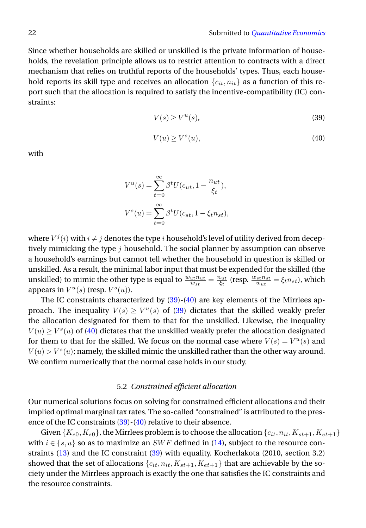Since whether households are skilled or unskilled is the private information of households, the revelation principle allows us to restrict attention to contracts with a direct mechanism that relies on truthful reports of the households' types. Thus, each household reports its skill type and receives an allocation  ${c_{it}, n_{it}}$  as a function of this report such that the allocation is required to satisfy the incentive-compatibility (IC) constraints:

<span id="page-21-0"></span>
$$
V(s) \ge V^u(s),\tag{39}
$$

<span id="page-21-1"></span>
$$
V(u) \ge V^s(u),\tag{40}
$$

with

$$
V^u(s) = \sum_{t=0}^{\infty} \beta^t U(c_{ut}, 1 - \frac{n_{ut}}{\xi_t}),
$$
  

$$
V^s(u) = \sum_{t=0}^{\infty} \beta^t U(c_{st}, 1 - \xi_t n_{st}),
$$

where  $V^j(i)$  with  $i \neq j$  denotes the type  $i$  household's level of utility derived from deceptively mimicking the type  $j$  household. The social planner by assumption can observe a household's earnings but cannot tell whether the household in question is skilled or unskilled. As a result, the minimal labor input that must be expended for the skilled (the unskilled) to mimic the other type is equal to  $\frac{w_{ut}n_{ut}}{w_{st}} = \frac{n_{ut}}{\xi_t}$  (resp.  $\frac{w_{st}n_{st}}{w_{ut}} = \xi_t n_{st}$ ), which appears in  $V^u(s)$  (resp.  $V^s(u)$ ).

The IC constraints characterized by  $(39)-(40)$  $(39)-(40)$  $(39)-(40)$  are key elements of the Mirrlees approach. The inequality  $V(s) \geq V^u(s)$  of [\(39\)](#page-21-0) dictates that the skilled weakly prefer the allocation designated for them to that for the unskilled. Likewise, the inequality  $V(u) \ge V^s(u)$  of [\(40\)](#page-21-1) dictates that the unskilled weakly prefer the allocation designated for them to that for the skilled. We focus on the normal case where  $V(s) = V^u(s)$  and  $V(u) > V<sup>s</sup>(u)$ ; namely, the skilled mimic the unskilled rather than the other way around. We confirm numerically that the normal case holds in our study.

### 5.2 *Constrained efficient allocation*

Our numerical solutions focus on solving for constrained efficient allocations and their implied optimal marginal tax rates. The so-called "constrained" is attributed to the pres-ence of the IC constraints [\(39\)](#page-21-0)-[\(40\)](#page-21-1) relative to their absence.

Given  $\{K_{e0}, K_{s0}\}$ , the Mirrlees problem is to choose the allocation  $\{c_{it}, n_{it}, K_{st+1}, K_{et+1}\}$ with  $i \in \{s, u\}$  so as to maximize an SWF defined in [\(14\)](#page-7-2), subject to the resource constraints [\(13\)](#page-7-1) and the IC constraint [\(39\)](#page-21-0) with equality. Kocherlakota (2010, section 3.2) showed that the set of allocations  $\{c_{it}, n_{it}, K_{st+1}, K_{et+1}\}$  that are achievable by the society under the Mirrlees approach is exactly the one that satisfies the IC constraints and the resource constraints.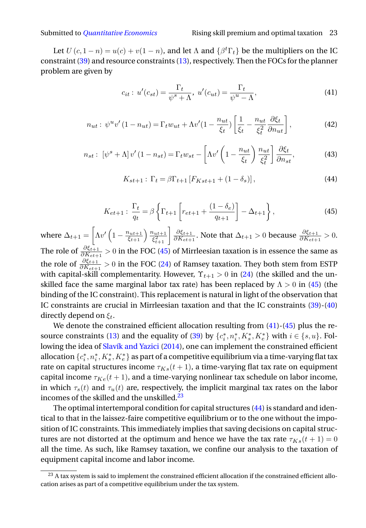Let  $U(c, 1-n) = u(c) + v(1-n)$ , and let  $\Lambda$  and  $\{\beta^t \Gamma_t\}$  be the multipliers on the IC constraint [\(39\)](#page-21-0) and resource constraints [\(13\)](#page-7-1), respectively. Then the FOCs for the planner problem are given by

<span id="page-22-1"></span>
$$
c_{it}: u'(c_{st}) = \frac{\Gamma_t}{\psi^s + \Lambda}, u'(c_{ut}) = \frac{\Gamma_t}{\psi^u - \Lambda},
$$
\n(41)

$$
n_{ut}: \psi^u v'(1 - n_{ut}) = \Gamma_t w_{ut} + \Lambda v'(1 - \frac{n_{ut}}{\xi_t}) \left[ \frac{1}{\xi_t} - \frac{n_{ut}}{\xi_t^2} \frac{\partial \xi_t}{\partial n_{ut}} \right],\tag{42}
$$

$$
n_{st}: \left[\psi^s + \Lambda\right] v'\left(1 - n_{st}\right) = \Gamma_t w_{st} - \left[\Lambda v'\left(1 - \frac{n_{ut}}{\xi_t}\right) \frac{n_{ut}}{\xi_t^2}\right] \frac{\partial \xi_t}{\partial n_{st}},\tag{43}
$$

<span id="page-22-3"></span>
$$
K_{st+1} : \Gamma_t = \beta \Gamma_{t+1} \left[ F_{Kst+1} + (1 - \delta_s) \right], \tag{44}
$$

<span id="page-22-0"></span>
$$
K_{et+1}: \frac{\Gamma_t}{q_t} = \beta \left\{ \Gamma_{t+1} \left[ r_{et+1} + \frac{(1 - \delta_e)}{q_{t+1}} \right] - \Delta_{t+1} \right\},\tag{45}
$$

where  $\Delta_{t+1} = \left[ \Lambda v' \left( 1 - \frac{n_{ut+1}}{\xi_{t+1}} \right) \frac{n_{ut+1}}{\xi_{t+1}^2} \right]$  $\frac{1}{\xi_{t+1}^2}$   $\frac{\partial \xi_{t+1}}{\partial K_{et+1}}$  $\frac{\partial \xi_{t+1}}{\partial K_{et+1}}$ . Note that  $\Delta_{t+1} > 0$  because  $\frac{\partial \xi_{t+1}}{\partial K_{et+1}} > 0$ . The role of  $\frac{\partial \xi_{t+1}}{\partial K_{et+1}}>0$  in the FOC [\(45\)](#page-22-0) of Mirrleesian taxation is in essence the same as the role of  $\frac{\partial \xi_{t+1}}{\partial K_{et+1}} > 0$  in the FOC [\(24\)](#page-9-3) of Ramsey taxation. They both stem from ESTP with capital-skill complementarity. However,  $\Upsilon_{t+1} > 0$  in [\(24\)](#page-9-3) (the skilled and the unskilled face the same marginal labor tax rate) has been replaced by  $\Lambda > 0$  in [\(45\)](#page-22-0) (the binding of the IC constraint). This replacement is natural in light of the observation that IC constraints are crucial in Mirrleesian taxation and that the IC constraints [\(39\)](#page-21-0)-[\(40\)](#page-21-1) directly depend on  $\xi_t$ .

We denote the constrained efficient allocation resulting from  $(41)$ - $(45)$  plus the re-source constraints [\(13\)](#page-7-1) and the equality of [\(39\)](#page-21-0) by  $\{c_i^*, n_i^*, K_s^*, K_e^*\}$  with  $i \in \{s, u\}$ . Following the idea of [Slavík and Yazici](#page-38-2) [\(2014\)](#page-38-2), one can implement the constrained efficient allocation  $\{c_i^*,n_i^*,K_s^*,K_e^*\}$  as part of a competitive equilibrium via a time-varying flat tax rate on capital structures income  $\tau_{Ks}(t+1)$ , a time-varying flat tax rate on equipment capital income  $\tau_{Ke}(t+1)$ , and a time-varying nonlinear tax schedule on labor income, in which  $\tau_s(t)$  and  $\tau_u(t)$  are, respectively, the implicit marginal tax rates on the labor incomes of the skilled and the unskilled.<sup>[23](#page-22-2)</sup>

The optimal intertemporal condition for capital structures [\(44\)](#page-22-3) is standard and identical to that in the laissez-faire competitive equilibrium or to the one without the imposition of IC constraints. This immediately implies that saving decisions on capital structures are not distorted at the optimum and hence we have the tax rate  $\tau_{Ks}(t + 1) = 0$ all the time. As such, like Ramsey taxation, we confine our analysis to the taxation of equipment capital income and labor income.

<span id="page-22-2"></span><sup>&</sup>lt;sup>23</sup> A tax system is said to implement the constrained efficient allocation if the constrained efficient allocation arises as part of a competitive equilibrium under the tax system.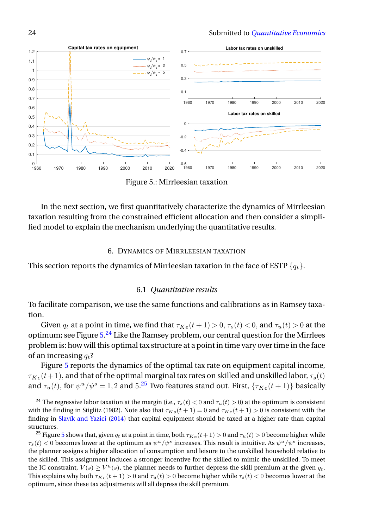<span id="page-23-0"></span>

Figure 5.: Mirrleesian taxation

In the next section, we first quantitatively characterize the dynamics of Mirrleesian taxation resulting from the constrained efficient allocation and then consider a simplified model to explain the mechanism underlying the quantitative results.

# 6. DYNAMICS OF MIRRLEESIAN TAXATION

This section reports the dynamics of Mirrleesian taxation in the face of ESTP  $\{q_t\}$ .

# 6.1 *Quantitative results*

To facilitate comparison, we use the same functions and calibrations as in Ramsey taxation.

Given  $q_t$  at a point in time, we find that  $\tau_{Ke}(t + 1) > 0$ ,  $\tau_s(t) < 0$ , and  $\tau_u(t) > 0$  at the optimum; see Figure [5.](#page-23-0)<sup>[24](#page-23-1)</sup> Like the Ramsey problem, our central question for the Mirrlees problem is: how will this optimal tax structure at a point in time vary over time in the face of an increasing  $q_t$ ?

Figure [5](#page-23-0) reports the dynamics of the optimal tax rate on equipment capital income,  $\tau_{Ke}(t+1)$ , and that of the optimal marginal tax rates on skilled and unskilled labor,  $\tau_{s}(t)$ and  $\tau_u(t)$ , for  $\psi^u/\psi^s = 1, 2$  and 5.<sup>[25](#page-23-2)</sup> Two features stand out. First,  $\{\tau_{Ke}(t+1)\}\$  basically

<span id="page-23-1"></span><sup>&</sup>lt;sup>24</sup> The regressive labor taxation at the margin (i.e.,  $\tau_s(t) < 0$  and  $\tau_u(t) > 0$ ) at the optimum is consistent with the finding in Stiglitz (1982). Note also that  $\tau_{Ks}(t + 1) = 0$  and  $\tau_{Ke}(t + 1) > 0$  is consistent with the finding in [Slavík and Yazici](#page-38-2) [\(2014\)](#page-38-2) that capital equipment should be taxed at a higher rate than capital structures.

<span id="page-23-2"></span><sup>&</sup>lt;sup>2[5](#page-23-0)</sup> Figure 5 shows that, given  $q_t$  at a point in time, both  $\tau_{Ke}(t+1) > 0$  and  $\tau_u(t) > 0$  become higher while  $\tau_s(t) < 0$  becomes lower at the optimum as  $\psi^u/\psi^s$  increases. This result is intuitive. As  $\psi^u/\psi^s$  increases, the planner assigns a higher allocation of consumption and leisure to the unskilled household relative to the skilled. This assignment induces a stronger incentive for the skilled to mimic the unskilled. To meet the IC constraint,  $V(s) \ge V^u(s)$ , the planner needs to further depress the skill premium at the given  $q_t$ . This explains why both  $\tau_{Ke}(t + 1) > 0$  and  $\tau_u(t) > 0$  become higher while  $\tau_s(t) < 0$  becomes lower at the optimum, since these tax adjustments will all depress the skill premium.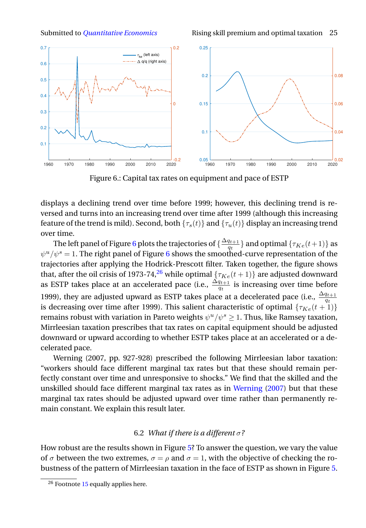Submitted to *[Quantitative Economics](http://qeconomics.org)* Rising skill premium and optimal taxation 25

<span id="page-24-0"></span>

Figure 6.: Capital tax rates on equipment and pace of ESTP

displays a declining trend over time before 1999; however, this declining trend is reversed and turns into an increasing trend over time after 1999 (although this increasing feature of the trend is mild). Second, both  $\{\tau_s(t)\}$  and  $\{\tau_u(t)\}$  display an increasing trend over time.

The left panel of Figure [6](#page-24-0) plots the trajectories of  $\{\frac{\Delta q_{t+1}}{q_t}$  $\left\{ \frac{q_{t+1}}{q_t} \right\}$  and optimal  $\{\tau_{Ke}(t+1)\}$  as  $\psi^u/\psi^s=1.$  The right panel of Figure [6](#page-24-0) shows the smoothed-curve representation of the trajectories after applying the Hodrick-Prescott filter. Taken together, the figure shows that, after the oil crisis of 1973-74,<sup>[26](#page-24-1)</sup> while optimal  $\{\tau_{Ke}(t+1)\}\$  are adjusted downward as ESTP takes place at an accelerated pace (i.e.,  $\frac{\Delta q_{t+1}}{q_t}$  is increasing over time before 1999), they are adjusted upward as ESTP takes place at a decelerated pace (i.e.,  $\frac{\Delta q_{t+1}}{q_t}$ is decreasing over time after 1999). This salient characteristic of optimal  $\{\tau_{Ke}(t+1)\}\$ remains robust with variation in Pareto weights  $\psi^u/\psi^s \geq 1$ . Thus, like Ramsey taxation, Mirrleesian taxation prescribes that tax rates on capital equipment should be adjusted downward or upward according to whether ESTP takes place at an accelerated or a decelerated pace.

Werning (2007, pp. 927-928) prescribed the following Mirrleesian labor taxation: "workers should face different marginal tax rates but that these should remain perfectly constant over time and unresponsive to shocks." We find that the skilled and the unskilled should face different marginal tax rates as in [Werning](#page-38-1) [\(2007\)](#page-38-1) but that these marginal tax rates should be adjusted upward over time rather than permanently remain constant. We explain this result later.

# 6.2 *What if there is a different* σ*?*

How robust are the results shown in Figure [5?](#page-23-0) To answer the question, we vary the value of  $\sigma$  between the two extremes,  $\sigma = \rho$  and  $\sigma = 1$ , with the objective of checking the robustness of the pattern of Mirrleesian taxation in the face of ESTP as shown in Figure [5.](#page-23-0)

<span id="page-24-1"></span> $\frac{26}{26}$  Footnote [15](#page-14-2) equally applies here.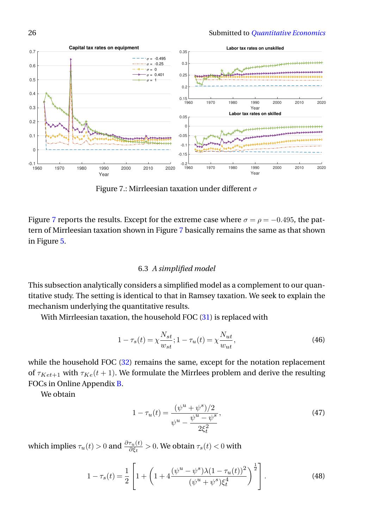<span id="page-25-0"></span>

Figure 7.: Mirrleesian taxation under different  $\sigma$ 

Figure [7](#page-25-0) reports the results. Except for the extreme case where  $\sigma = \rho = -0.495$ , the pattern of Mirrleesian taxation shown in Figure [7](#page-25-0) basically remains the same as that shown in Figure [5.](#page-23-0)

# 6.3 *A simplified model*

This subsection analytically considers a simplified model as a complement to our quantitative study. The setting is identical to that in Ramsey taxation. We seek to explain the mechanism underlying the quantitative results.

With Mirrleesian taxation, the household FOC [\(31\)](#page-17-4) is replaced with

$$
1 - \tau_s(t) = \chi \frac{N_{st}}{w_{st}}; 1 - \tau_u(t) = \chi \frac{N_{ut}}{w_{ut}},
$$
\n(46)

while the household FOC  $(32)$  remains the same, except for the notation replacement of  $\tau_{Ket+1}$  with  $\tau_{Ket}(t+1)$ . We formulate the Mirrlees problem and derive the resulting FOCs in Online Appendix [B.](#page-0-1)

We obtain

<span id="page-25-1"></span>
$$
1 - \tau_u(t) = \frac{(\psi^u + \psi^s)/2}{\psi^u - \frac{\psi^u - \psi^s}{2\xi_t^2}},
$$
\n(47)

which implies  $\tau_u(t) > 0$  and  $\frac{\partial \tau_u(t)}{\partial \xi_t} > 0$ . We obtain  $\tau_s(t) < 0$  with

<span id="page-25-2"></span>
$$
1 - \tau_s(t) = \frac{1}{2} \left[ 1 + \left( 1 + 4 \frac{(\psi^u - \psi^s) \lambda (1 - \tau_u(t))^2}{(\psi^u + \psi^s) \xi_t^4} \right)^{\frac{1}{2}} \right].
$$
 (48)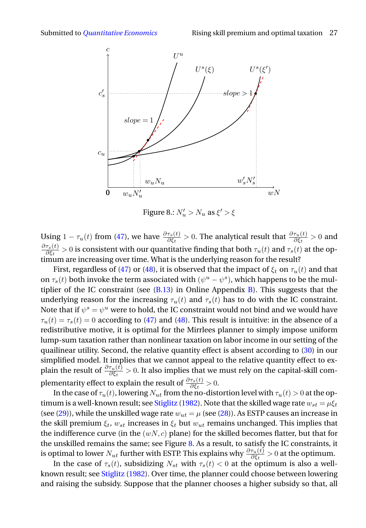<span id="page-26-0"></span>

Figure 8.:  $N'_u > N_u$  as  $\xi' > \xi$ 

Using  $1 - \tau_u(t)$  from [\(47\)](#page-25-1), we have  $\frac{\partial \tau_s(t)}{\partial \xi_t} > 0$ . The analytical result that  $\frac{\partial \tau_u(t)}{\partial \xi_t} > 0$  and  $\partial \tau_s(t)$  $\frac{\tau_s(t)}{\partial \xi_t}>0$  is consistent with our quantitative finding that both  $\tau_u(t)$  and  $\tau_s(t)$  at the optimum are increasing over time. What is the underlying reason for the result?

First, regardless of [\(47\)](#page-25-1) or [\(48\)](#page-25-2), it is observed that the impact of  $\xi_t$  on  $\tau_u(t)$  and that on  $\tau_s(t)$  both invoke the term associated with  $(\psi^u - \psi^s)$ , which happens to be the multiplier of the IC constraint (see  $(B.13)$  in Online Appendix [B\)](#page-0-1). This suggests that the underlying reason for the increasing  $\tau_u(t)$  and  $\tau_s(t)$  has to do with the IC constraint. Note that if  $\psi^s = \psi^u$  were to hold, the IC constraint would not bind and we would have  $\tau_u(t) = \tau_s(t) = 0$  according to [\(47\)](#page-25-1) and [\(48\)](#page-25-2). This result is intuitive: in the absence of a redistributive motive, it is optimal for the Mirrlees planner to simply impose uniform lump-sum taxation rather than nonlinear taxation on labor income in our setting of the quailinear utility. Second, the relative quantity effect is absent according to [\(30\)](#page-17-1) in our simplified model. It implies that we cannot appeal to the relative quantity effect to explain the result of  $\frac{\partial \tau_u(t)}{\partial \xi_t}>0.$  It also implies that we must rely on the capital-skill complementarity effect to explain the result of  $\frac{\partial \tau_s(t)}{\partial \xi_t} > 0$ .

In the case of  $\tau_u(t)$ , lowering  $N_{ut}$  from the no-distortion level with  $\tau_u(t) > 0$  at the op-timum is a well-known result; see [Stiglitz](#page-38-4) [\(1982\)](#page-38-4). Note that the skilled wage rate  $w_{st} = \mu \xi_t$ (see [\(29\)](#page-17-5)), while the unskilled wage rate  $w_{ut} = \mu$  (see [\(28\)](#page-16-0)). As ESTP causes an increase in the skill premium  $\xi_t$ ,  $w_{st}$  increases in  $\xi_t$  but  $w_{ut}$  remains unchanged. This implies that the indifference curve (in the  $(wN, c)$  plane) for the skilled becomes flatter, but that for the unskilled remains the same; see Figure [8.](#page-26-0) As a result, to satisfy the IC constraints, it is optimal to lower  $N_{ut}$  further with ESTP. This explains why  $\frac{\partial \tau_u(t)}{\partial \xi_t}>0$  at the optimum.

In the case of  $\tau_s(t)$ , subsidizing  $N_{st}$  with  $\tau_s(t) < 0$  at the optimum is also a wellknown result; see [Stiglitz](#page-38-4) [\(1982\)](#page-38-4). Over time, the planner could choose between lowering and raising the subsidy. Suppose that the planner chooses a higher subsidy so that, all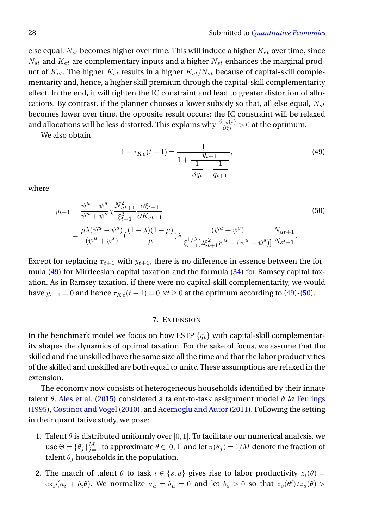else equal,  $N_{st}$  becomes higher over time. This will induce a higher  $K_{et}$  over time, since  $N_{st}$  and  $K_{et}$  are complementary inputs and a higher  $N_{st}$  enhances the marginal product of  $K_{et}$ . The higher  $K_{et}$  results in a higher  $K_{et}/N_{st}$  because of capital-skill complementarity and, hence, a higher skill premium through the capital-skill complementarity effect. In the end, it will tighten the IC constraint and lead to greater distortion of allocations. By contrast, if the planner chooses a lower subsidy so that, all else equal,  $N_{st}$ becomes lower over time, the opposite result occurs: the IC constraint will be relaxed and allocations will be less distorted. This explains why  $\frac{\partial \tau_s(t)}{\partial \xi_t} > 0$  at the optimum.

We also obtain

<span id="page-27-0"></span>
$$
1 - \tau_{Ke}(t+1) = \frac{1}{1 + \frac{y_{t+1}}{\frac{1}{\beta q_t} - \frac{1}{q_{t+1}}}},\tag{49}
$$

where

<span id="page-27-1"></span>
$$
y_{t+1} = \frac{\psi^u - \psi^s}{\psi^u + \psi^s} \chi \frac{N_{ut+1}^2}{\xi_{t+1}^3} \frac{\partial \xi_{t+1}}{\partial K_{et+1}}
$$
  
= 
$$
\frac{\mu \lambda (\psi^u - \psi^s)}{(\psi^u + \psi^s)} \left(\frac{(1 - \lambda)(1 - \mu)}{\mu}\right) \frac{1}{\chi} \frac{(\psi^u + \psi^s)}{\xi_{t+1}^{1/\lambda} [2\xi_{t+1}^2 \psi^u - (\psi^u - \psi^s)]} \frac{N_{ut+1}}{N_{st+1}}.
$$
(50)

Except for replacing  $x_{t+1}$  with  $y_{t+1}$ , there is no difference in essence between the formula [\(49\)](#page-27-0) for Mirrleesian capital taxation and the formula [\(34\)](#page-18-3) for Ramsey capital taxation. As in Ramsey taxation, if there were no capital-skill complementarity, we would have  $y_{t+1} = 0$  and hence  $\tau_{Ke}(t+1) = 0, \forall t \ge 0$  at the optimum according to [\(49\)](#page-27-0)-[\(50\)](#page-27-1).

# 7. EXTENSION

In the benchmark model we focus on how ESTP  $\{q_t\}$  with capital-skill complementarity shapes the dynamics of optimal taxation. For the sake of focus, we assume that the skilled and the unskilled have the same size all the time and that the labor productivities of the skilled and unskilled are both equal to unity. These assumptions are relaxed in the extension.

The economy now consists of heterogeneous households identified by their innate talent θ. [Ales et al.](#page-35-2) [\(2015\)](#page-35-2) considered a talent-to-task assignment model *à la* [Teulings](#page-38-5) [\(1995\)](#page-38-5), [Costinot and Vogel](#page-36-12) [\(2010\)](#page-36-12), and [Acemoglu and Autor](#page-35-3) [\(2011\)](#page-35-3). Following the setting in their quantitative study, we pose:

- 1. Talent  $\theta$  is distributed uniformly over [0, 1]. To facilitate our numerical analysis, we use  $\Theta = \{\theta_j\}_{j=1}^M$  to approximate  $\theta \in [0,1]$  and let  $\pi(\theta_j) = 1/M$  denote the fraction of talent  $\theta_j$  households in the population.
- 2. The match of talent  $\theta$  to task  $i \in \{s, u\}$  gives rise to labor productivity  $z_i(\theta) =$  $\exp(a_i + b_i \theta)$ . We normalize  $a_u = b_u = 0$  and let  $b_s > 0$  so that  $z_s(\theta')/z_s(\theta) >$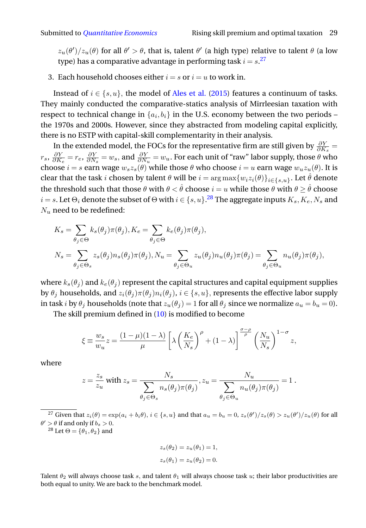$z_u(\theta')/z_u(\theta)$  for all  $\theta' > \theta$ , that is, talent  $\theta'$  (a high type) relative to talent  $\theta$  (a low type) has a comparative advantage in performing task  $i = s.^{27}$  $i = s.^{27}$  $i = s.^{27}$ 

3. Each household chooses either  $i = s$  or  $i = u$  to work in.

Instead of  $i \in \{s, u\}$ , the model of [Ales et al.](#page-35-2) [\(2015\)](#page-35-2) features a continuum of tasks. They mainly conducted the comparative-statics analysis of Mirrleesian taxation with respect to technical change in  $\{a_i, b_i\}$  in the U.S. economy between the two periods – the 1970s and 2000s. However, since they abstracted from modeling capital explicitly, there is no ESTP with capital-skill complementarity in their analysis.

In the extended model, the FOCs for the representative firm are still given by  $\frac{\partial Y}{\partial K_s}$  =  $r_s$ ,  $\frac{\partial Y}{\partial K_e} = r_e$ ,  $\frac{\partial Y}{\partial N_s} = w_s$ , and  $\frac{\partial Y}{\partial N_u} = w_u$ . For each unit of "raw" labor supply, those  $\theta$  who choose  $i = s$  earn wage  $w_s z_s(\theta)$  while those  $\theta$  who choose  $i = u$  earn wage  $w_u z_u(\theta)$ . It is clear that the task  $i$  chosen by talent  $\theta$  will be  $i=\arg\max\{w_iz_i(\theta)\}_{i\in\{s,u\}}.$  Let  $\hat{\theta}$  denote the threshold such that those  $\theta$  with  $\theta < \hat{\theta}$  choose  $i = u$  while those  $\theta$  with  $\theta \ge \hat{\theta}$  choose  $i$   $=$   $s.$  Let  $\Theta_i$  denote the subset of  $\Theta$  with  $i$   $\in$   $\{s, u\}$ . $^{28}$  $^{28}$  $^{28}$  The aggregate inputs  $K_s, K_e, N_s$  and  $N_u$  need to be redefined:

$$
K_s = \sum_{\theta_j \in \Theta} k_s(\theta_j) \pi(\theta_j), K_e = \sum_{\theta_j \in \Theta} k_e(\theta_j) \pi(\theta_j),
$$
  

$$
N_s = \sum_{\theta_j \in \Theta_s} z_s(\theta_j) n_s(\theta_j) \pi(\theta_j), N_u = \sum_{\theta_j \in \Theta_u} z_u(\theta_j) n_u(\theta_j) \pi(\theta_j) = \sum_{\theta_j \in \Theta_u} n_u(\theta_j) \pi(\theta_j),
$$

where  $k_s(\theta_i)$  and  $k_e(\theta_i)$  represent the capital structures and capital equipment supplies by  $\theta_j$  households, and  $z_i(\theta_j)\pi(\theta_j)n_i(\theta_j)$ ,  $i \in \{s, u\}$ , represents the effective labor supply in task *i* by  $\theta_j$  households (note that  $z_u(\theta_j) = 1$  for all  $\theta_j$  since we normalize  $a_u = b_u = 0$ ).

The skill premium defined in [\(10\)](#page-6-1) is modified to become

$$
\xi \equiv \frac{w_s}{w_u} z = \frac{(1-\mu)(1-\lambda)}{\mu} \left[ \lambda \left( \frac{K_e}{N_s} \right)^{\rho} + (1-\lambda) \right]^{\frac{\sigma-\rho}{\rho}} \left( \frac{N_u}{N_s} \right)^{1-\sigma} z,
$$

where

$$
z = \frac{z_s}{z_u} \text{ with } z_s = \frac{N_s}{\sum_{\theta_j \in \Theta_s} n_s(\theta_j) \pi(\theta_j)}, z_u = \frac{N_u}{\sum_{\theta_j \in \Theta_u} n_u(\theta_j) \pi(\theta_j)} = 1.
$$

<span id="page-28-0"></span><sup>27</sup> Given that  $z_i(\theta) = \exp(a_i + b_i \theta)$ ,  $i \in \{s, u\}$  and that  $a_u = b_u = 0$ ,  $z_s(\theta')/z_s(\theta) > z_u(\theta')/z_u(\theta)$  for all  $\theta' > \theta$  if and only if  $b_s > 0$ .

<span id="page-28-1"></span><sup>28</sup> Let  $\Theta = {\theta_1, \theta_2}$  and

$$
z_s(\theta_2) = z_u(\theta_1) = 1,
$$
  

$$
z_s(\theta_1) = z_u(\theta_2) = 0.
$$

Talent  $\theta_2$  will always choose task s, and talent  $\theta_1$  will always choose task u; their labor productivities are both equal to unity. We are back to the benchmark model.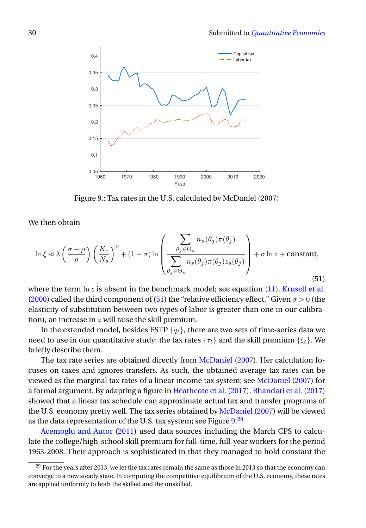<span id="page-29-1"></span>

Figure 9.: Tax rates in the U.S. calculated by McDaniel (2007)

We then obtain

<span id="page-29-0"></span>
$$
\ln \xi \approx \lambda \left(\frac{\sigma - \rho}{\rho}\right) \left(\frac{K_e}{N_s}\right)^{\rho} + (1 - \sigma) \ln \left(\frac{\sum_{\theta_j \in \Theta_u} n_u(\theta_j) \pi(\theta_j)}{\sum_{\theta_j \in \Theta_s} n_s(\theta_j) \pi(\theta_j) z_s(\theta_j)}\right) + \sigma \ln z + \text{constant},\tag{51}
$$

where the term  $\ln z$  is absent in the benchmark model; see equation [\(11\)](#page-6-2). [Krusell et al.](#page-37-1) [\(2000\)](#page-37-1) called the third component of [\(51\)](#page-29-0) the "relative efficiency effect." Given  $\sigma > 0$  (the elasticity of substitution between two types of labor is greater than one in our calibration), an increase in  $z$  will raise the skill premium.

In the extended model, besides ESTP  ${q_t}$ , there are two sets of time-series data we need to use in our quantitative study: the tax rates  $\{\tau_t\}$  and the skill premium  $\{\xi_t\}$ . We briefly describe them.

The tax rate series are obtained directly from [McDaniel](#page-37-13) [\(2007\)](#page-37-13). Her calculation focuses on taxes and ignores transfers. As such, the obtained average tax rates can be viewed as the marginal tax rates of a linear income tax system; see [McDaniel](#page-37-13) [\(2007\)](#page-37-13) for a formal argument. By adapting a figure in [Heathcote et al.](#page-37-15) [\(2017\)](#page-37-15), [Bhandari et al.](#page-36-13) [\(2017\)](#page-36-13) showed that a linear tax schedule can approximate actual tax and transfer programs of the U.S. economy pretty well. The tax series obtained by [McDaniel](#page-37-13) [\(2007\)](#page-37-13) will be viewed as the data representation of the U.S. tax system; see Figure  $9.^{29}$  $9.^{29}$  $9.^{29}$  $9.^{29}$ 

[Acemoglu and Autor](#page-35-3) [\(2011\)](#page-35-3) used data sources including the March CPS to calculate the college/high-school skill premium for full-time, full-year workers for the period 1963-2008. Their approach is sophisticated in that they managed to hold constant the

<span id="page-29-2"></span> $29$  For the years after 2013, we let the tax rates remain the same as those in 2013 so that the economy can converge to a new steady state. In computing the competitive equilibrium of the U.S. economy, these rates are applied uniformly to both the skilled and the unskilled.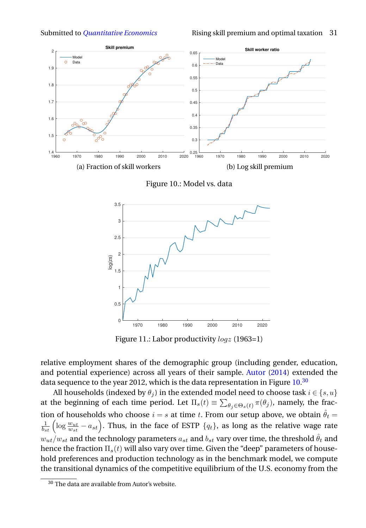<span id="page-30-0"></span>

Figure 10.: Model vs. data

<span id="page-30-2"></span>

Figure 11.: Labor productivity *logz* (1963=1)

relative employment shares of the demographic group (including gender, education, and potential experience) across all years of their sample. [Autor](#page-36-14) [\(2014\)](#page-36-14) extended the data sequence to the year 2012, which is the data representation in Figure [10.](#page-30-0) $^{\rm 30}$  $^{\rm 30}$  $^{\rm 30}$ 

All households (indexed by  $\theta_i$ ) in the extended model need to choose task  $i \in \{s, u\}$ at the beginning of each time period. Let  $\Pi_s(t) \equiv \sum_{\theta_j \in \Theta_s(t)} \pi(\theta_j)$ , namely, the fraction of households who choose  $i = s$  at time t. From our setup above, we obtain  $\hat{\theta}_t =$  $\frac{1}{b_{st}}$  (  $\log \frac{w_{ut}}{w_{st}} - a_{st} \Big).$  Thus, in the face of ESTP  $\{q_t\}$ , as long as the relative wage rate  $w_{ut}/w_{st}$  and the technology parameters  $a_{st}$  and  $b_{st}$  vary over time, the threshold  $\hat{\theta}_t$  and hence the fraction  $\Pi_s(t)$  will also vary over time. Given the "deep" parameters of household preferences and production technology as in the benchmark model, we compute the transitional dynamics of the competitive equilibrium of the U.S. economy from the

<span id="page-30-1"></span> $\overline{30}$  The data are available from Autor's website.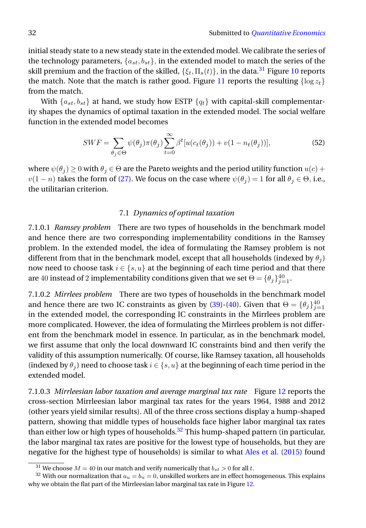initial steady state to a new steady state in the extended model. We calibrate the series of the technology parameters,  $\{a_{st}, b_{st}\}\$ , in the extended model to match the series of the skill premium and the fraction of the skilled,  $\{\xi_t, \Pi_s(t)\}\$ , in the data.<sup>[31](#page-31-0)</sup> Figure [10](#page-30-0) reports the match. Note that the match is rather good. Figure [11](#page-30-2) reports the resulting  $\{\log z_t\}$ from the match.

With  $\{a_{st}, b_{st}\}$  at hand, we study how ESTP  $\{q_t\}$  with capital-skill complementarity shapes the dynamics of optimal taxation in the extended model. The social welfare function in the extended model becomes

<span id="page-31-2"></span>
$$
SWF = \sum_{\theta_j \in \Theta} \psi(\theta_j) \pi(\theta_j) \sum_{t=0}^{\infty} \beta^t [u(c_t(\theta_j)) + v(1 - n_t(\theta_j))],
$$
\n(52)

where  $\psi(\theta_j) \geq 0$  with  $\theta_j \in \Theta$  are the Pareto weights and the period utility function  $u(c)$  +  $v(1 - n)$  takes the form of [\(27\)](#page-12-1). We focus on the case where  $\psi(\theta_i) = 1$  for all  $\theta_i \in \Theta$ , i.e., the utilitarian criterion.

### 7.1 *Dynamics of optimal taxation*

7.1.0.1 *Ramsey problem* There are two types of households in the benchmark model and hence there are two corresponding implementability conditions in the Ramsey problem. In the extended model, the idea of formulating the Ramsey problem is not different from that in the benchmark model, except that all households (indexed by  $\theta_i$ ) now need to choose task  $i \in \{s, u\}$  at the beginning of each time period and that there are 40 instead of 2 implementability conditions given that we set  $\Theta = \{\theta_j\}_{j=1}^{40}$ .

7.1.0.2 *Mirrlees problem* There are two types of households in the benchmark model and hence there are two IC constraints as given by [\(39\)](#page-21-0)-[\(40\)](#page-21-1). Given that  $\Theta = {\theta_j}_{j=1}^{40}$ in the extended model, the corresponding IC constraints in the Mirrlees problem are more complicated. However, the idea of formulating the Mirrlees problem is not different from the benchmark model in essence. In particular, as in the benchmark model, we first assume that only the local downward IC constraints bind and then verify the validity of this assumption numerically. Of course, like Ramsey taxation, all households (indexed by  $\theta_i$ ) need to choose task  $i \in \{s, u\}$  at the beginning of each time period in the extended model.

7.1.0.3 *Mirrleesian labor taxation and average marginal tax rate* Figure [12](#page-32-0) reports the cross-section Mirrleesian labor marginal tax rates for the years 1964, 1988 and 2012 (other years yield similar results). All of the three cross sections display a hump-shaped pattern, showing that middle types of households face higher labor marginal tax rates than either low or high types of households.<sup>[32](#page-31-1)</sup> This hump-shaped pattern (in particular, the labor marginal tax rates are positive for the lowest type of households, but they are negative for the highest type of households) is similar to what [Ales et al.](#page-35-2) [\(2015\)](#page-35-2) found

<span id="page-31-1"></span><span id="page-31-0"></span> $^{31}$  We choose  $M=40$  in our match and verify numerically that  $b_{st}>0$  for all  $t.$ 

<sup>&</sup>lt;sup>32</sup> With our normalization that  $a_u = b_u = 0$ , unskilled workers are in effect homogeneous. This explains why we obtain the flat part of the Mirrleesian labor marginal tax rate in Figure [12.](#page-32-0)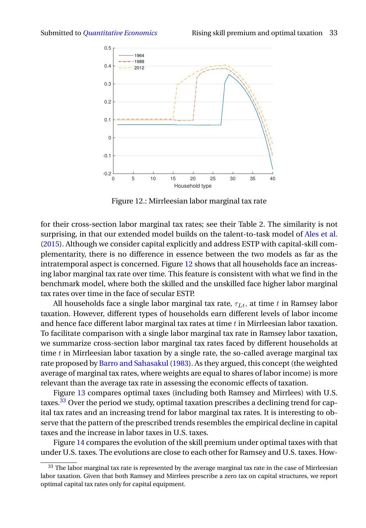<span id="page-32-0"></span>

Figure 12.: Mirrleesian labor marginal tax rate

for their cross-section labor marginal tax rates; see their Table 2. The similarity is not surprising, in that our extended model builds on the talent-to-task model of [Ales et al.](#page-35-2) [\(2015\)](#page-35-2). Although we consider capital explicitly and address ESTP with capital-skill complementarity, there is no difference in essence between the two models as far as the intratemporal aspect is concerned. Figure [12](#page-32-0) shows that all households face an increasing labor marginal tax rate over time. This feature is consistent with what we find in the benchmark model, where both the skilled and the unskilled face higher labor marginal tax rates over time in the face of secular ESTP.

All households face a single labor marginal tax rate,  $\tau_{Lt}$ , at time t in Ramsey labor taxation. However, different types of households earn different levels of labor income and hence face different labor marginal tax rates at time  $t$  in Mirrleesian labor taxation. To facilitate comparison with a single labor marginal tax rate in Ramsey labor taxation, we summarize cross-section labor marginal tax rates faced by different households at time  $t$  in Mirrleesian labor taxation by a single rate, the so-called average marginal tax rate proposed by [Barro and Sahasakul](#page-36-15) [\(1983\)](#page-36-15). As they argued, this concept (the weighted average of marginal tax rates, where weights are equal to shares of labor income) is more relevant than the average tax rate in assessing the economic effects of taxation.

Figure [13](#page-33-0) compares optimal taxes (including both Ramsey and Mirrlees) with U.S. taxes.[33](#page-32-1) Over the period we study, optimal taxation prescribes a declining trend for capital tax rates and an increasing trend for labor marginal tax rates. It is interesting to observe that the pattern of the prescribed trends resembles the empirical decline in capital taxes and the increase in labor taxes in U.S. taxes.

Figure [14](#page-33-1) compares the evolution of the skill premium under optimal taxes with that under U.S. taxes. The evolutions are close to each other for Ramsey and U.S. taxes. How-

<span id="page-32-1"></span> $33$  The labor marginal tax rate is represented by the average marginal tax rate in the case of Mirrleesian labor taxation. Given that both Ramsey and Mirrlees prescribe a zero tax on capital structures, we report optimal capital tax rates only for capital equipment.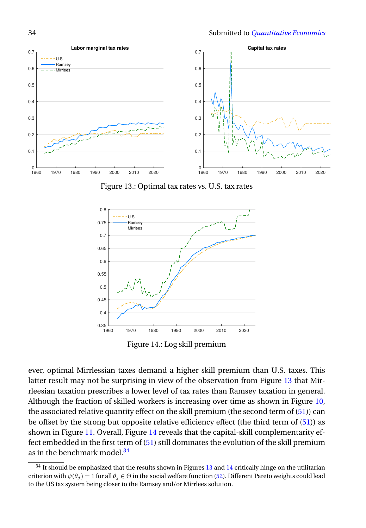<span id="page-33-0"></span>

Figure 13.: Optimal tax rates vs. U.S. tax rates

<span id="page-33-1"></span>

Figure 14.: Log skill premium

ever, optimal Mirrlessian taxes demand a higher skill premium than U.S. taxes. This latter result may not be surprising in view of the observation from Figure [13](#page-33-0) that Mirrleesian taxation prescribes a lower level of tax rates than Ramsey taxation in general. Although the fraction of skilled workers is increasing over time as shown in Figure [10,](#page-30-0) the associated relative quantity effect on the skill premium (the second term of [\(51\)](#page-29-0)) can be offset by the strong but opposite relative efficiency effect (the third term of  $(51)$ ) as shown in Figure [11.](#page-30-2) Overall, Figure [14](#page-33-1) reveals that the capital-skill complementarity effect embedded in the first term of [\(51\)](#page-29-0) still dominates the evolution of the skill premium as in the benchmark model<sup>[34](#page-33-2)</sup>

<span id="page-33-2"></span> $34$  It should be emphasized that the results shown in Figures [13](#page-33-0) and [14](#page-33-1) critically hinge on the utilitarian criterion with  $\psi(\theta_i) = 1$  for all  $\theta_i \in \Theta$  in the social welfare function [\(52\)](#page-31-2). Different Pareto weights could lead to the US tax system being closer to the Ramsey and/or Mirrlees solution.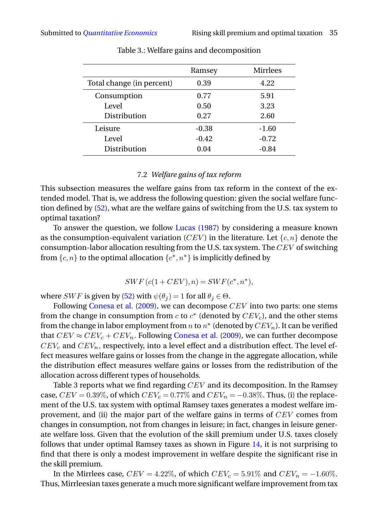|                           | Ramsey  | <b>Mirrlees</b> |
|---------------------------|---------|-----------------|
| Total change (in percent) | 0.39    | 4.22            |
| Consumption               | 0.77    | 5.91            |
| Level                     | 0.50    | 3.23            |
| Distribution              | 0.27    | 2.60            |
| Leisure                   | $-0.38$ | $-1.60$         |
| Level                     | $-0.42$ | $-0.72$         |
| Distribution              | 0.04    | $-0.84$         |
|                           |         |                 |

Table 3.: Welfare gains and decomposition

# 7.2 *Welfare gains of tax reform*

This subsection measures the welfare gains from tax reform in the context of the extended model. That is, we address the following question: given the social welfare function defined by [\(52\)](#page-31-2), what are the welfare gains of switching from the U.S. tax system to optimal taxation?

To answer the question, we follow [Lucas](#page-37-16) [\(1987\)](#page-37-16) by considering a measure known as the consumption-equivalent variation (CEV) in the literature. Let  $\{c, n\}$  denote the consumption-labor allocation resulting from the U.S. tax system. The  $CEV$  of switching from  $\{c, n\}$  to the optimal allocation  $\{c^*, n^*\}$  is implicitly defined by

$$
SWF(c(1+CEV), n) = SWF(c^*, n^*),
$$

where *SWF* is given by [\(52\)](#page-31-2) with  $\psi(\theta_i) = 1$  for all  $\theta_i \in \Theta$ .

Following [Conesa et al.](#page-36-16) [\(2009\)](#page-36-16), we can decompose  $CEV$  into two parts: one stems from the change in consumption from  $c$  to  $c^*$  (denoted by  $CEV_c$ ), and the other stems from the change in labor employment from  $n$  to  $n^*$  (denoted by  $CEV_n$ ). It can be verified that  $CEV \approx CEV_c + CEV_n$ . Following [Conesa et al.](#page-36-16) [\(2009\)](#page-36-16), we can further decompose  $CEV_c$  and  $CEV_n$ , respectively, into a level effect and a distribution effect. The level effect measures welfare gains or losses from the change in the aggregate allocation, while the distribution effect measures welfare gains or losses from the redistribution of the allocation across different types of households.

Table 3 reports what we find regarding  $CEV$  and its decomposition. In the Ramsey case,  $CEV = 0.39\%$ , of which  $CEV_c = 0.77\%$  and  $CEV_n = -0.38\%$ . Thus, (i) the replacement of the U.S. tax system with optimal Ramsey taxes generates a modest welfare improvement, and (ii) the major part of the welfare gains in terms of CEV comes from changes in consumption, not from changes in leisure; in fact, changes in leisure generate welfare loss. Given that the evolution of the skill premium under U.S. taxes closely follows that under optimal Ramsey taxes as shown in Figure [14,](#page-33-1) it is not surprising to find that there is only a modest improvement in welfare despite the significant rise in the skill premium.

In the Mirrlees case,  $CEV = 4.22\%$ , of which  $CEV_c = 5.91\%$  and  $CEV_n = -1.60\%$ . Thus, Mirrleesian taxes generate a much more significant welfare improvement from tax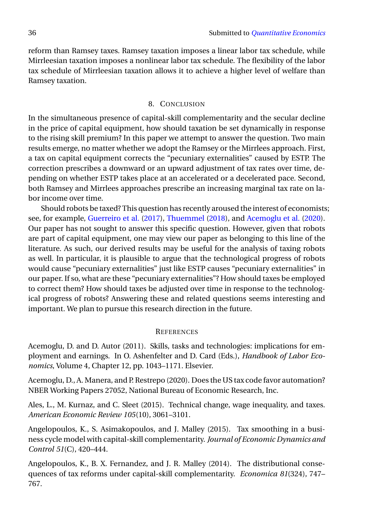reform than Ramsey taxes. Ramsey taxation imposes a linear labor tax schedule, while Mirrleesian taxation imposes a nonlinear labor tax schedule. The flexibility of the labor tax schedule of Mirrleesian taxation allows it to achieve a higher level of welfare than Ramsey taxation.

# 8. CONCLUSION

In the simultaneous presence of capital-skill complementarity and the secular decline in the price of capital equipment, how should taxation be set dynamically in response to the rising skill premium? In this paper we attempt to answer the question. Two main results emerge, no matter whether we adopt the Ramsey or the Mirrlees approach. First, a tax on capital equipment corrects the "pecuniary externalities" caused by ESTP. The correction prescribes a downward or an upward adjustment of tax rates over time, depending on whether ESTP takes place at an accelerated or a decelerated pace. Second, both Ramsey and Mirrlees approaches prescribe an increasing marginal tax rate on labor income over time.

Should robots be taxed? This question has recently aroused the interest of economists; see, for example, [Guerreiro et al.](#page-37-17) [\(2017\)](#page-37-17), [Thuemmel](#page-38-6) [\(2018\)](#page-38-6), and [Acemoglu et al.](#page-35-4) [\(2020\)](#page-35-4). Our paper has not sought to answer this specific question. However, given that robots are part of capital equipment, one may view our paper as belonging to this line of the literature. As such, our derived results may be useful for the analysis of taxing robots as well. In particular, it is plausible to argue that the technological progress of robots would cause "pecuniary externalities" just like ESTP causes "pecuniary externalities" in our paper. If so, what are these "pecuniary externalities"? How should taxes be employed to correct them? How should taxes be adjusted over time in response to the technological progress of robots? Answering these and related questions seems interesting and important. We plan to pursue this research direction in the future.

### **REFERENCES**

<span id="page-35-3"></span>Acemoglu, D. and D. Autor (2011). Skills, tasks and technologies: implications for employment and earnings. In O. Ashenfelter and D. Card (Eds.), *Handbook of Labor Economics*, Volume 4, Chapter 12, pp. 1043–1171. Elsevier.

<span id="page-35-4"></span>Acemoglu, D., A. Manera, and P. Restrepo (2020). Does the US tax code favor automation? NBER Working Papers 27052, National Bureau of Economic Research, Inc.

<span id="page-35-2"></span>Ales, L., M. Kurnaz, and C. Sleet (2015). Technical change, wage inequality, and taxes. *American Economic Review 105*(10), 3061–3101.

<span id="page-35-0"></span>Angelopoulos, K., S. Asimakopoulos, and J. Malley (2015). Tax smoothing in a business cycle model with capital-skill complementarity. *Journal of Economic Dynamics and Control 51*(C), 420–444.

<span id="page-35-1"></span>Angelopoulos, K., B. X. Fernandez, and J. R. Malley (2014). The distributional consequences of tax reforms under capital-skill complementarity. *Economica 81*(324), 747– 767.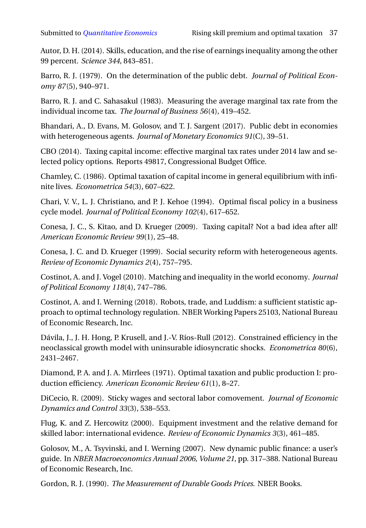<span id="page-36-14"></span>Autor, D. H. (2014). Skills, education, and the rise of earnings inequality among the other 99 percent. *Science 344*, 843–851.

<span id="page-36-1"></span>Barro, R. J. (1979). On the determination of the public debt. *Journal of Political Economy 87*(5), 940–971.

<span id="page-36-15"></span>Barro, R. J. and C. Sahasakul (1983). Measuring the average marginal tax rate from the individual income tax. *The Journal of Business 56*(4), 419–452.

<span id="page-36-13"></span>Bhandari, A., D. Evans, M. Golosov, and T. J. Sargent (2017). Public debt in economies with heterogeneous agents. *Journal of Monetary Economics 91*(C), 39–51.

<span id="page-36-7"></span>CBO (2014). Taxing capital income: effective marginal tax rates under 2014 law and selected policy options. Reports 49817, Congressional Budget Office.

<span id="page-36-0"></span>Chamley, C. (1986). Optimal taxation of capital income in general equilibrium with infinite lives. *Econometrica 54*(3), 607–622.

<span id="page-36-4"></span>Chari, V. V., L. J. Christiano, and P. J. Kehoe (1994). Optimal fiscal policy in a business cycle model. *Journal of Political Economy 102*(4), 617–652.

<span id="page-36-16"></span>Conesa, J. C., S. Kitao, and D. Krueger (2009). Taxing capital? Not a bad idea after all! *American Economic Review 99*(1), 25–48.

<span id="page-36-10"></span>Conesa, J. C. and D. Krueger (1999). Social security reform with heterogeneous agents. *Review of Economic Dynamics 2*(4), 757–795.

<span id="page-36-12"></span>Costinot, A. and J. Vogel (2010). Matching and inequality in the world economy. *Journal of Political Economy 118*(4), 747–786.

<span id="page-36-3"></span>Costinot, A. and I. Werning (2018). Robots, trade, and Luddism: a sufficient statistic approach to optimal technology regulation. NBER Working Papers 25103, National Bureau of Economic Research, Inc.

<span id="page-36-11"></span>Dávila, J., J. H. Hong, P. Krusell, and J.-V. Ríos-Rull (2012). Constrained efficiency in the neoclassical growth model with uninsurable idiosyncratic shocks. *Econometrica 80*(6), 2431–2467.

<span id="page-36-5"></span>Diamond, P. A. and J. A. Mirrlees (1971). Optimal taxation and public production I: production efficiency. *American Economic Review 61*(1), 8–27.

<span id="page-36-9"></span>DiCecio, R. (2009). Sticky wages and sectoral labor comovement. *Journal of Economic Dynamics and Control 33*(3), 538–553.

<span id="page-36-2"></span>Flug, K. and Z. Hercowitz (2000). Equipment investment and the relative demand for skilled labor: international evidence. *Review of Economic Dynamics 3*(3), 461–485.

<span id="page-36-6"></span>Golosov, M., A. Tsyvinski, and I. Werning (2007). New dynamic public finance: a user's guide. In *NBER Macroeconomics Annual 2006, Volume 21*, pp. 317–388. National Bureau of Economic Research, Inc.

<span id="page-36-8"></span>Gordon, R. J. (1990). *The Measurement of Durable Goods Prices*. NBER Books.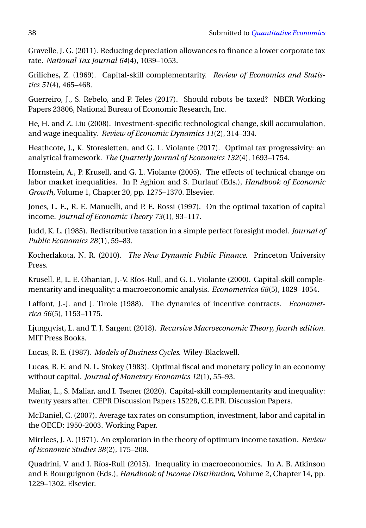<span id="page-37-12"></span>Gravelle, J. G. (2011). Reducing depreciation allowances to finance a lower corporate tax rate. *National Tax Journal 64*(4), 1039–1053.

<span id="page-37-2"></span>Griliches, Z. (1969). Capital-skill complementarity. *Review of Economics and Statistics 51*(4), 465–468.

<span id="page-37-17"></span>Guerreiro, J., S. Rebelo, and P. Teles (2017). Should robots be taxed? NBER Working Papers 23806, National Bureau of Economic Research, Inc.

<span id="page-37-10"></span>He, H. and Z. Liu (2008). Investment-specific technological change, skill accumulation, and wage inequality. *Review of Economic Dynamics 11*(2), 314–334.

<span id="page-37-15"></span>Heathcote, J., K. Storesletten, and G. L. Violante (2017). Optimal tax progressivity: an analytical framework. *The Quarterly Journal of Economics 132*(4), 1693–1754.

<span id="page-37-6"></span>Hornstein, A., P. Krusell, and G. L. Violante (2005). The effects of technical change on labor market inequalities. In P. Aghion and S. Durlauf (Eds.), *Handbook of Economic Growth*, Volume 1, Chapter 20, pp. 1275–1370. Elsevier.

<span id="page-37-9"></span>Jones, L. E., R. E. Manuelli, and P. E. Rossi (1997). On the optimal taxation of capital income. *Journal of Economic Theory 73*(1), 93–117.

<span id="page-37-4"></span>Judd, K. L. (1985). Redistributive taxation in a simple perfect foresight model. *Journal of Public Economics 28*(1), 59–83.

<span id="page-37-11"></span>Kocherlakota, N. R. (2010). *The New Dynamic Public Finance*. Princeton University Press.

<span id="page-37-1"></span>Krusell, P., L. E. Ohanian, J.-V. Ríos-Rull, and G. L. Violante (2000). Capital-skill complementarity and inequality: a macroeconomic analysis. *Econometrica 68*(5), 1029–1054.

<span id="page-37-14"></span>Laffont, J.-J. and J. Tirole (1988). The dynamics of incentive contracts. *Econometrica 56*(5), 1153–1175.

<span id="page-37-3"></span>Ljungqvist, L. and T. J. Sargent (2018). *Recursive Macroeconomic Theory, fourth edition*. MIT Press Books.

<span id="page-37-16"></span>Lucas, R. E. (1987). *Models of Business Cycles*. Wiley-Blackwell.

<span id="page-37-5"></span>Lucas, R. E. and N. L. Stokey (1983). Optimal fiscal and monetary policy in an economy without capital. *Journal of Monetary Economics 12*(1), 55–93.

<span id="page-37-8"></span>Maliar, L., S. Maliar, and I. Tsener (2020). Capital-skill complementarity and inequality: twenty years after. CEPR Discussion Papers 15228, C.E.P.R. Discussion Papers.

<span id="page-37-13"></span>McDaniel, C. (2007). Average tax rates on consumption, investment, labor and capital in the OECD: 1950-2003. Working Paper.

<span id="page-37-0"></span>Mirrlees, J. A. (1971). An exploration in the theory of optimum income taxation. *Review of Economic Studies 38*(2), 175–208.

<span id="page-37-7"></span>Quadrini, V. and J. Ríos-Rull (2015). Inequality in macroeconomics. In A. B. Atkinson and F. Bourguignon (Eds.), *Handbook of Income Distribution*, Volume 2, Chapter 14, pp. 1229–1302. Elsevier.